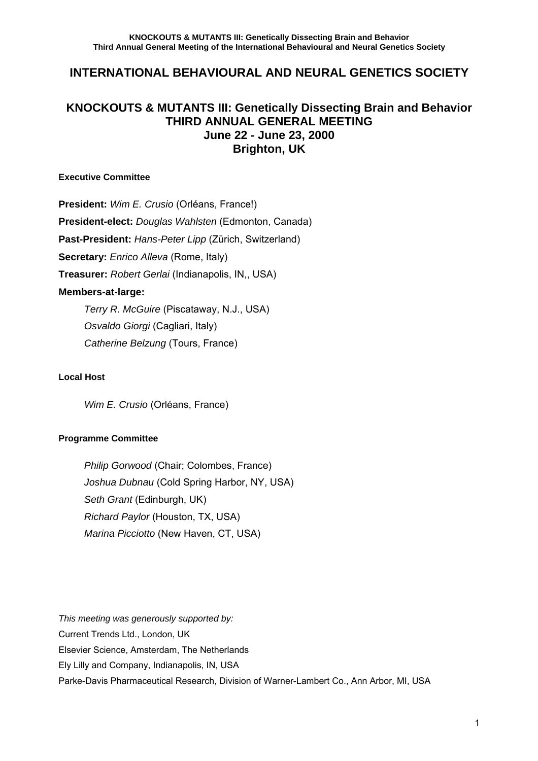# **INTERNATIONAL BEHAVIOURAL AND NEURAL GENETICS SOCIETY**

## **KNOCKOUTS & MUTANTS III: Genetically Dissecting Brain and Behavior THIRD ANNUAL GENERAL MEETING June 22 - June 23, 2000 Brighton, UK**

## **Executive Committee**

**President:** *Wim E. Crusio* (Orléans, France!) **President-elect:** *Douglas Wahlsten* (Edmonton, Canada) **Past-President:** *Hans-Peter Lipp* (Zürich, Switzerland) **Secretary:** *Enrico Alleva* (Rome, Italy) **Treasurer:** *Robert Gerlai* (Indianapolis, IN,, USA) **Members-at-large:**   *Terry R. McGuire* (Piscataway, N.J., USA)

> *Osvaldo Giorgi* (Cagliari, Italy) *Catherine Belzung* (Tours, France)

## **Local Host**

 *Wim E. Crusio* (Orléans, France)

## **Programme Committee**

*Philip Gorwood* (Chair; Colombes, France) *Joshua Dubnau* (Cold Spring Harbor, NY, USA) *Seth Grant* (Edinburgh, UK) *Richard Paylor* (Houston, TX, USA) *Marina Picciotto* (New Haven, CT, USA)

*This meeting was generously supported by:*  Current Trends Ltd., London, UK Elsevier Science, Amsterdam, The Netherlands Ely Lilly and Company, Indianapolis, IN, USA Parke-Davis Pharmaceutical Research, Division of Warner-Lambert Co., Ann Arbor, MI, USA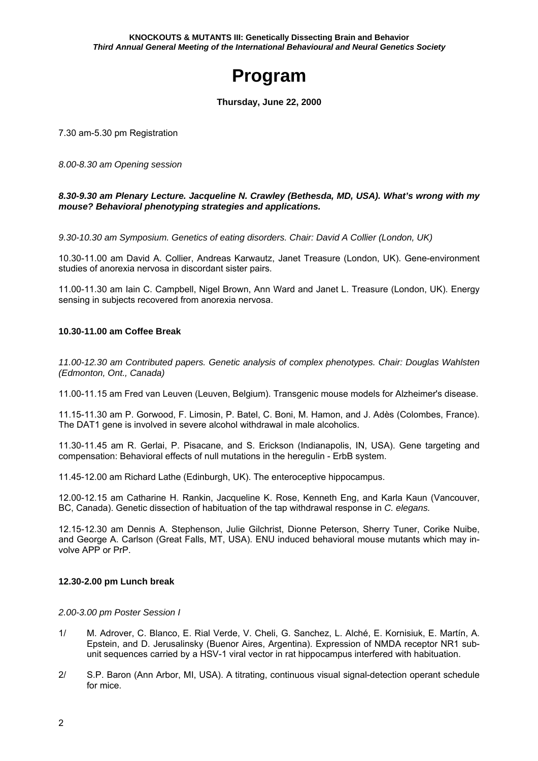# **Program**

**Thursday, June 22, 2000** 

7.30 am-5.30 pm Registration

*8.00-8.30 am Opening session* 

#### *8.30-9.30 am Plenary Lecture. Jacqueline N. Crawley (Bethesda, MD, USA). What's wrong with my mouse? Behavioral phenotyping strategies and applications.*

*9.30-10.30 am Symposium. Genetics of eating disorders. Chair: David A Collier (London, UK)* 

10.30-11.00 am David A. Collier, Andreas Karwautz, Janet Treasure (London, UK). Gene-environment studies of anorexia nervosa in discordant sister pairs.

11.00-11.30 am Iain C. Campbell, Nigel Brown, Ann Ward and Janet L. Treasure (London, UK). Energy sensing in subjects recovered from anorexia nervosa.

## **10.30-11.00 am Coffee Break**

*11.00-12.30 am Contributed papers. Genetic analysis of complex phenotypes. Chair: Douglas Wahlsten (Edmonton, Ont., Canada)* 

11.00-11.15 am Fred van Leuven (Leuven, Belgium). Transgenic mouse models for Alzheimer's disease.

11.15-11.30 am P. Gorwood, F. Limosin, P. Batel, C. Boni, M. Hamon, and J. Adès (Colombes, France). The DAT1 gene is involved in severe alcohol withdrawal in male alcoholics.

11.30-11.45 am R. Gerlai, P. Pisacane, and S. Erickson (Indianapolis, IN, USA). Gene targeting and compensation: Behavioral effects of null mutations in the heregulin - ErbB system.

11.45-12.00 am Richard Lathe (Edinburgh, UK). The enteroceptive hippocampus.

12.00-12.15 am Catharine H. Rankin, Jacqueline K. Rose, Kenneth Eng, and Karla Kaun (Vancouver, BC, Canada). Genetic dissection of habituation of the tap withdrawal response in *C. elegans.*

12.15-12.30 am Dennis A. Stephenson, Julie Gilchrist, Dionne Peterson, Sherry Tuner, Corike Nuibe, and George A. Carlson (Great Falls, MT, USA). ENU induced behavioral mouse mutants which may involve APP or PrP.

## **12.30-2.00 pm Lunch break**

#### *2.00-3.00 pm Poster Session I*

- 1/ M. Adrover, C. Blanco, E. Rial Verde, V. Cheli, G. Sanchez, L. Alché, E. Kornisiuk, E. Martín, A. Epstein, and D. Jerusalinsky (Buenor Aires, Argentina). Expression of NMDA receptor NR1 subunit sequences carried by a HSV-1 viral vector in rat hippocampus interfered with habituation.
- 2/ S.P. Baron (Ann Arbor, MI, USA). A titrating, continuous visual signal-detection operant schedule for mice.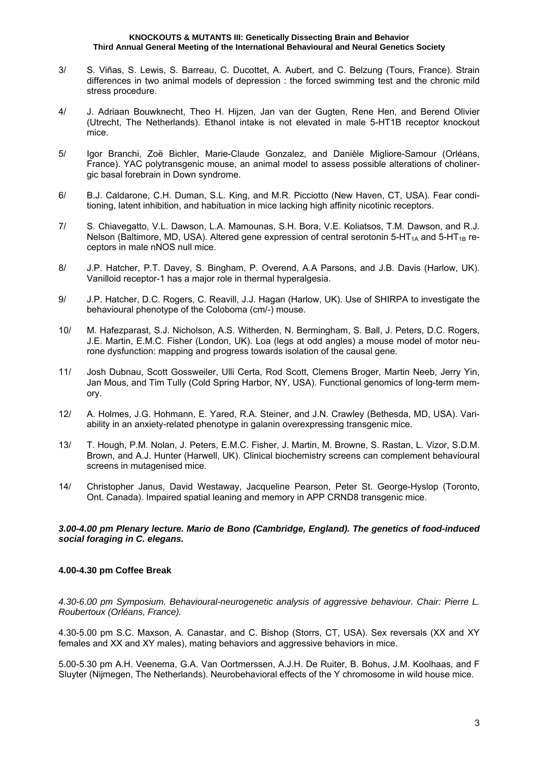- 3/ S. Viñas, S. Lewis, S. Barreau, C. Ducottet, A. Aubert, and C. Belzung (Tours, France). Strain differences in two animal models of depression : the forced swimming test and the chronic mild stress procedure.
- 4/ J. Adriaan Bouwknecht, Theo H. Hijzen, Jan van der Gugten, Rene Hen, and Berend Olivier (Utrecht, The Netherlands). Ethanol intake is not elevated in male 5-HT1B receptor knockout mice.
- 5/ Igor Branchi, Zoë Bichler, Marie-Claude Gonzalez, and Danièle Migliore-Samour (Orléans, France). YAC polytransgenic mouse, an animal model to assess possible alterations of cholinergic basal forebrain in Down syndrome.
- 6/ B.J. Caldarone, C.H. Duman, S.L. King, and M.R. Picciotto (New Haven, CT, USA). Fear conditioning, latent inhibition, and habituation in mice lacking high affinity nicotinic receptors.
- 7/ S. Chiavegatto, V.L. Dawson, L.A. Mamounas, S.H. Bora, V.E. Koliatsos, T.M. Dawson, and R.J. Nelson (Baltimore, MD, USA). Altered gene expression of central serotonin  $5-HT_{1A}$  and  $5-HT_{1B}$  receptors in male nNOS null mice.
- 8/ J.P. Hatcher, P.T. Davey, S. Bingham, P. Overend, A.A Parsons, and J.B. Davis (Harlow, UK). Vanilloid receptor-1 has a major role in thermal hyperalgesia.
- 9/ J.P. Hatcher, D.C. Rogers, C. Reavill, J.J. Hagan (Harlow, UK). Use of SHIRPA to investigate the behavioural phenotype of the Coloboma (cm/-) mouse.
- 10/ M. Hafezparast, S.J. Nicholson, A.S. Witherden, N. Bermingham, S. Ball, J. Peters, D.C. Rogers, J.E. Martin, E.M.C. Fisher (London, UK). Loa (legs at odd angles) a mouse model of motor neurone dysfunction: mapping and progress towards isolation of the causal gene.
- 11/ Josh Dubnau, Scott Gossweiler, Ulli Certa, Rod Scott, Clemens Broger, Martin Neeb, Jerry Yin, Jan Mous, and Tim Tully (Cold Spring Harbor, NY, USA). Functional genomics of long-term memory.
- 12/ A. Holmes, J.G. Hohmann, E. Yared, R.A. Steiner, and J.N. Crawley (Bethesda, MD, USA). Variability in an anxiety-related phenotype in galanin overexpressing transgenic mice.
- 13/ T. Hough, P.M. Nolan, J. Peters, E.M.C. Fisher, J. Martin, M. Browne, S. Rastan, L. Vizor, S.D.M. Brown, and A.J. Hunter (Harwell, UK). Clinical biochemistry screens can complement behavioural screens in mutagenised mice.
- 14/ Christopher Janus, David Westaway, Jacqueline Pearson, Peter St. George-Hyslop (Toronto, Ont. Canada). Impaired spatial leaning and memory in APP CRND8 transgenic mice.

#### *3.00-4.00 pm Plenary lecture. Mario de Bono (Cambridge, England). The genetics of food-induced social foraging in C. elegans.*

## **4.00-4.30 pm Coffee Break**

*4.30-6.00 pm Symposium. Behavioural-neurogenetic analysis of aggressive behaviour. Chair: Pierre L. Roubertoux (Orléans, France).* 

4.30-5.00 pm S.C. Maxson, A. Canastar, and C. Bishop (Storrs, CT, USA). Sex reversals (XX and XY females and XX and XY males), mating behaviors and aggressive behaviors in mice.

5.00-5.30 pm A.H. Veenema, G.A. Van Oortmerssen, A.J.H. De Ruiter, B. Bohus, J.M. Koolhaas, and F Sluyter (Nijmegen, The Netherlands). Neurobehavioral effects of the Y chromosome in wild house mice.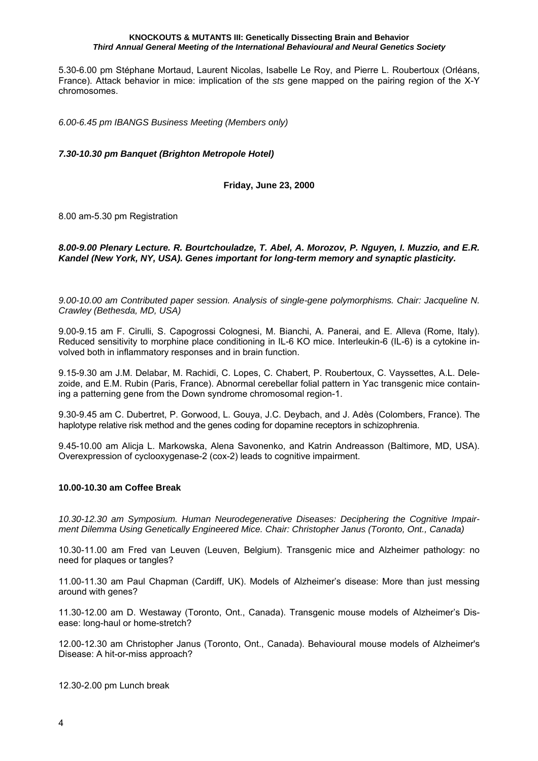5.30-6.00 pm Stéphane Mortaud, Laurent Nicolas, Isabelle Le Roy, and Pierre L. Roubertoux (Orléans, France). Attack behavior in mice: implication of the *sts* gene mapped on the pairing region of the X-Y chromosomes.

*6.00-6.45 pm IBANGS Business Meeting (Members only)* 

*7.30-10.30 pm Banquet (Brighton Metropole Hotel)* 

**Friday, June 23, 2000** 

8.00 am-5.30 pm Registration

*8.00-9.00 Plenary Lecture. R. Bourtchouladze, T. Abel, A. Morozov, P. Nguyen, I. Muzzio, and E.R. Kandel (New York, NY, USA). Genes important for long-term memory and synaptic plasticity.* 

*9.00-10.00 am Contributed paper session. Analysis of single-gene polymorphisms. Chair: Jacqueline N. Crawley (Bethesda, MD, USA)* 

9.00-9.15 am F. Cirulli, S. Capogrossi Colognesi, M. Bianchi, A. Panerai, and E. Alleva (Rome, Italy). Reduced sensitivity to morphine place conditioning in IL-6 KO mice. Interleukin-6 (IL-6) is a cytokine involved both in inflammatory responses and in brain function.

9.15-9.30 am J.M. Delabar, M. Rachidi, C. Lopes, C. Chabert, P. Roubertoux, C. Vayssettes, A.L. Delezoide, and E.M. Rubin (Paris, France). Abnormal cerebellar folial pattern in Yac transgenic mice containing a patterning gene from the Down syndrome chromosomal region-1.

9.30-9.45 am C. Dubertret, P. Gorwood, L. Gouya, J.C. Deybach, and J. Adès (Colombers, France). The haplotype relative risk method and the genes coding for dopamine receptors in schizophrenia.

9.45-10.00 am Alicja L. Markowska, Alena Savonenko, and Katrin Andreasson (Baltimore, MD, USA). Overexpression of cyclooxygenase-2 (cox-2) leads to cognitive impairment.

#### **10.00-10.30 am Coffee Break**

*10.30-12.30 am Symposium. Human Neurodegenerative Diseases: Deciphering the Cognitive Impairment Dilemma Using Genetically Engineered Mice. Chair: Christopher Janus (Toronto, Ont., Canada)* 

10.30-11.00 am Fred van Leuven (Leuven, Belgium). Transgenic mice and Alzheimer pathology: no need for plaques or tangles?

11.00-11.30 am Paul Chapman (Cardiff, UK). Models of Alzheimer's disease: More than just messing around with genes?

11.30-12.00 am D. Westaway (Toronto, Ont., Canada). Transgenic mouse models of Alzheimer's Disease: long-haul or home-stretch?

12.00-12.30 am Christopher Janus (Toronto, Ont., Canada). Behavioural mouse models of Alzheimer's Disease: A hit-or-miss approach?

12.30-2.00 pm Lunch break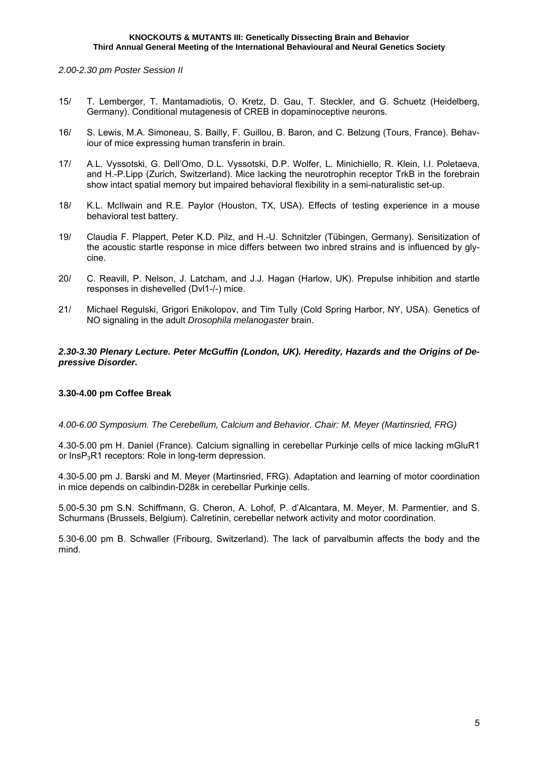*2.00-2.30 pm Poster Session II* 

- 15/ T. Lemberger, T. Mantamadiotis, O. Kretz, D. Gau, T. Steckler, and G. Schuetz (Heidelberg, Germany). Conditional mutagenesis of CREB in dopaminoceptive neurons.
- 16/ S. Lewis, M.A. Simoneau, S. Bailly, F. Guillou, B. Baron, and C. Belzung (Tours, France). Behaviour of mice expressing human transferin in brain.
- 17/ A.L. Vyssotski, G. Dell'Omo, D.L. Vyssotski, D.P. Wolfer, L. Minichiello, R. Klein, I.I. Poletaeva, and H.-P.Lipp (Zurich, Switzerland). Mice lacking the neurotrophin receptor TrkB in the forebrain show intact spatial memory but impaired behavioral flexibility in a semi-naturalistic set-up.
- 18/ K.L. McIlwain and R.E. Paylor (Houston, TX, USA). Effects of testing experience in a mouse behavioral test battery.
- 19/ Claudia F. Plappert, Peter K.D. Pilz, and H.-U. Schnitzler (Tübingen, Germany). Sensitization of the acoustic startle response in mice differs between two inbred strains and is influenced by glycine.
- 20/ C. Reavill, P. Nelson, J. Latcham, and J.J. Hagan (Harlow, UK). Prepulse inhibition and startle responses in dishevelled (Dvl1-/-) mice.
- 21/ Michael Regulski, Grigori Enikolopov, and Tim Tully (Cold Spring Harbor, NY, USA). Genetics of NO signaling in the adult *Drosophila melanogaster* brain.

#### *2.30-3.30 Plenary Lecture. Peter McGuffin (London, UK). Heredity, Hazards and the Origins of Depressive Disorder.*

## **3.30-4.00 pm Coffee Break**

#### *4.00-6.00 Symposium. The Cerebellum, Calcium and Behavior. Chair: M. Meyer (Martinsried, FRG)*

4.30-5.00 pm H. Daniel (France). Calcium signalling in cerebellar Purkinje cells of mice lacking mGluR1 or InsP3R1 receptors: Role in long-term depression.

4.30-5.00 pm J. Barski and M. Meyer (Martinsried, FRG). Adaptation and learning of motor coordination in mice depends on calbindin-D28k in cerebellar Purkinje cells.

5.00-5.30 pm S.N. Schiffmann, G. Cheron, A. Lohof, P. d'Alcantara, M. Meyer, M. Parmentier, and S. Schurmans (Brussels, Belgium). Calretinin, cerebellar network activity and motor coordination.

5.30-6.00 pm B. Schwaller (Fribourg, Switzerland). The lack of parvalbumin affects the body and the mind.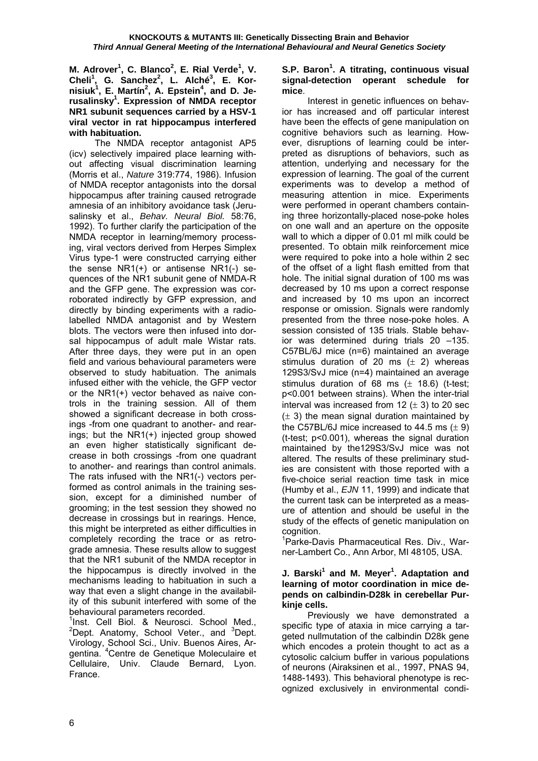**M.** Adrover<sup>1</sup>, C. Blanco<sup>2</sup>, E. Rial Verde<sup>1</sup>, V. **Cheli1 , G. Sanchez<sup>2</sup> , L. Alché<sup>3</sup> , E. Kornisiuk1 , E. Martín<sup>2</sup> , A. Epstein<sup>4</sup> , and D. Jerusalinsky1 . Expression of NMDA receptor NR1 subunit sequences carried by a HSV-1 viral vector in rat hippocampus interfered with habituation.** 

 The NMDA receptor antagonist AP5 (icv) selectively impaired place learning without affecting visual discrimination learning (Morris et al., *Nature* 319:774, 1986). Infusion of NMDA receptor antagonists into the dorsal hippocampus after training caused retrograde amnesia of an inhibitory avoidance task (Jerusalinsky et al., *Behav. Neural Biol.* 58:76, 1992). To further clarify the participation of the NMDA receptor in learning/memory processing, viral vectors derived from Herpes Simplex Virus type-1 were constructed carrying either the sense NR1(+) or antisense NR1(-) sequences of the NR1 subunit gene of NMDA-R and the GFP gene. The expression was corroborated indirectly by GFP expression, and directly by binding experiments with a radiolabelled NMDA antagonist and by Western blots. The vectors were then infused into dorsal hippocampus of adult male Wistar rats. After three days, they were put in an open field and various behavioural parameters were observed to study habituation. The animals infused either with the vehicle, the GFP vector or the NR1(+) vector behaved as naive controls in the training session. All of them showed a significant decrease in both crossings -from one quadrant to another- and rearings; but the NR1(+) injected group showed an even higher statistically significant decrease in both crossings -from one quadrant to another- and rearings than control animals. The rats infused with the NR1(-) vectors performed as control animals in the training session, except for a diminished number of grooming; in the test session they showed no decrease in crossings but in rearings. Hence, this might be interpreted as either difficulties in completely recording the trace or as retrograde amnesia. These results allow to suggest that the NR1 subunit of the NMDA receptor in the hippocampus is directly involved in the mechanisms leading to habituation in such a way that even a slight change in the availability of this subunit interfered with some of the behavioural parameters recorded.

<sup>1</sup>Inst. Cell Biol. & Neurosci. School Med.,  $2$ Dept. Anatomy, School Veter., and  $3$ Dept. Virology, School Sci., Univ. Buenos Aires, Argentina. <sup>4</sup> Centre de Genetique Moleculaire et Cellulaire, Univ. Claude Bernard, Lyon. France.

## S.P. Baron<sup>1</sup>. A titrating, continuous visual **signal-detection operant schedule for mice**.

 Interest in genetic influences on behavior has increased and off particular interest have been the effects of gene manipulation on cognitive behaviors such as learning. However, disruptions of learning could be interpreted as disruptions of behaviors, such as attention, underlying and necessary for the expression of learning. The goal of the current experiments was to develop a method of measuring attention in mice. Experiments were performed in operant chambers containing three horizontally-placed nose-poke holes on one wall and an aperture on the opposite wall to which a dipper of 0.01 ml milk could be presented. To obtain milk reinforcement mice were required to poke into a hole within 2 sec of the offset of a light flash emitted from that hole. The initial signal duration of 100 ms was decreased by 10 ms upon a correct response and increased by 10 ms upon an incorrect response or omission. Signals were randomly presented from the three nose-poke holes. A session consisted of 135 trials. Stable behavior was determined during trials 20 –135. C57BL/6J mice (n=6) maintained an average stimulus duration of 20 ms  $(\pm 2)$  whereas 129S3/SvJ mice (n=4) maintained an average stimulus duration of 68 ms  $(\pm 18.6)$  (t-test; p<0.001 between strains). When the inter-trial interval was increased from 12  $(\pm 3)$  to 20 sec  $(\pm 3)$  the mean signal duration maintained by the C57BL/6J mice increased to 44.5 ms  $(\pm 9)$ (t-test; p<0.001), whereas the signal duration maintained by the129S3/SvJ mice was not altered. The results of these preliminary studies are consistent with those reported with a five-choice serial reaction time task in mice (Humby et al., *EJN* 11, 1999) and indicate that the current task can be interpreted as a measure of attention and should be useful in the study of the effects of genetic manipulation on cognition.

<sup>1</sup>Parke-Davis Pharmaceutical Res. Div., Warner-Lambert Co., Ann Arbor, MI 48105, USA.

#### **J. Barski<sup>1</sup> and M. Meyer<sup>1</sup>. Adaptation and learning of motor coordination in mice depends on calbindin-D28k in cerebellar Purkinje cells.**

 Previously we have demonstrated a specific type of ataxia in mice carrying a targeted nullmutation of the calbindin D28k gene which encodes a protein thought to act as a cytosolic calcium buffer in various populations of neurons (Airaksinen et al., 1997, PNAS 94, 1488-1493). This behavioral phenotype is recognized exclusively in environmental condi-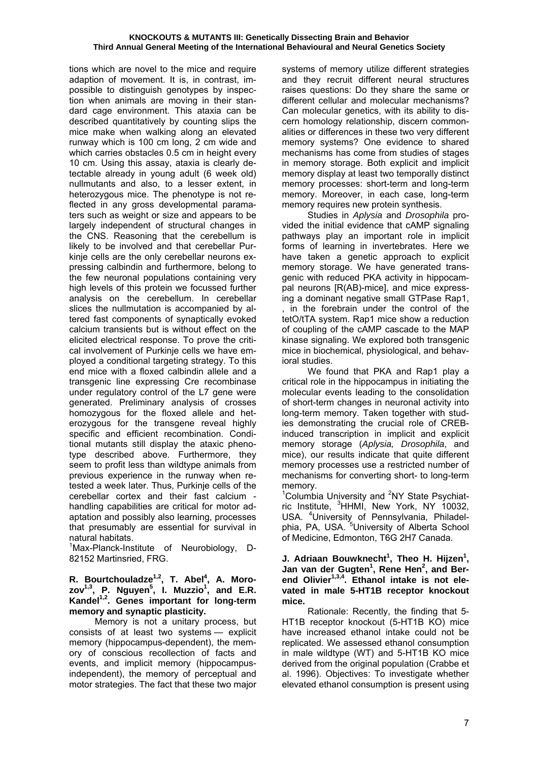tions which are novel to the mice and require adaption of movement. It is, in contrast, impossible to distinguish genotypes by inspection when animals are moving in their standard cage environment. This ataxia can be described quantitatively by counting slips the mice make when walking along an elevated runway which is 100 cm long, 2 cm wide and which carries obstacles 0.5 cm in height every 10 cm. Using this assay, ataxia is clearly detectable already in young adult (6 week old) nullmutants and also, to a lesser extent, in heterozygous mice. The phenotype is not reflected in any gross developmental paramaters such as weight or size and appears to be largely independent of structural changes in the CNS. Reasoning that the cerebellum is likely to be involved and that cerebellar Purkinje cells are the only cerebellar neurons expressing calbindin and furthermore, belong to the few neuronal populations containing very high levels of this protein we focussed further analysis on the cerebellum. In cerebellar slices the nullmutation is accompanied by altered fast components of synaptically evoked calcium transients but is without effect on the elicited electrical response. To prove the critical involvement of Purkinje cells we have employed a conditional targeting strategy. To this end mice with a floxed calbindin allele and a transgenic line expressing Cre recombinase under regulatory control of the L7 gene were generated. Preliminary analysis of crosses homozygous for the floxed allele and heterozygous for the transgene reveal highly specific and efficient recombination. Conditional mutants still display the ataxic phenotype described above. Furthermore, they seem to profit less than wildtype animals from previous experience in the runway when retested a week later. Thus, Purkinje cells of the cerebellar cortex and their fast calcium handling capabilities are critical for motor adaptation and possibly also learning, processes that presumably are essential for survival in natural habitats.

<sup>1</sup>Max-Planck-Institute of Neurobiology, D-82152 Martinsried, FRG.

#### R. Bourtchouladze<sup>1,2</sup>, T. Abel<sup>4</sup>, A. Morozov<sup>1,3</sup>, P. Nguyen<sup>5</sup>, I. Muzzio<sup>1</sup>, and E.R. **Kandel1,2. Genes important for long-term memory and synaptic plasticity.**

 Memory is not a unitary process, but consists of at least two systems — explicit memory (hippocampus-dependent), the memory of conscious recollection of facts and events, and implicit memory (hippocampusindependent), the memory of perceptual and motor strategies. The fact that these two major

systems of memory utilize different strategies and they recruit different neural structures raises questions: Do they share the same or different cellular and molecular mechanisms? Can molecular genetics, with its ability to discern homology relationship, discern commonalities or differences in these two very different memory systems? One evidence to shared mechanisms has come from studies of stages in memory storage. Both explicit and implicit memory display at least two temporally distinct memory processes: short-term and long-term memory. Moreover, in each case, long-term memory requires new protein synthesis.

 Studies in *Aplysia* and *Drosophila* provided the initial evidence that cAMP signaling pathways play an important role in implicit forms of learning in invertebrates. Here we have taken a genetic approach to explicit memory storage. We have generated transgenic with reduced PKA activity in hippocampal neurons [R(AB)-mice], and mice expressing a dominant negative small GTPase Rap1, , in the forebrain under the control of the tetO/tTA system. Rap1 mice show a reduction of coupling of the cAMP cascade to the MAP kinase signaling. We explored both transgenic mice in biochemical, physiological, and behavioral studies.

We found that PKA and Rap1 play a critical role in the hippocampus in initiating the molecular events leading to the consolidation of short-term changes in neuronal activity into long-term memory. Taken together with studies demonstrating the crucial role of CREBinduced transcription in implicit and explicit memory storage (*Aplysia, Drosophila*, and mice), our results indicate that quite different memory processes use a restricted number of mechanisms for converting short- to long-term memory.

<sup>1</sup>Columbia University and <sup>2</sup>NY State Psychiatric Institute, <sup>3</sup>HHMI, New York, NY 10032, USA. <sup>4</sup>University of Pennsylvania, Philadelphia, PA, USA. <sup>5</sup>University of Alberta School of Medicine, Edmonton, T6G 2H7 Canada.

**J. Adriaan Bouwknecht<sup>1</sup> , Theo H. Hijzen<sup>1</sup> , Jan van der Gugten<sup>1</sup> , Rene Hen<sup>2</sup> , and Berend Olivier1,3,4. Ethanol intake is not elevated in male 5-HT1B receptor knockout mice.** 

 Rationale: Recently, the finding that 5- HT1B receptor knockout (5-HT1B KO) mice have increased ethanol intake could not be replicated. We assessed ethanol consumption in male wildtype (WT) and 5-HT1B KO mice derived from the original population (Crabbe et al. 1996). Objectives: To investigate whether elevated ethanol consumption is present using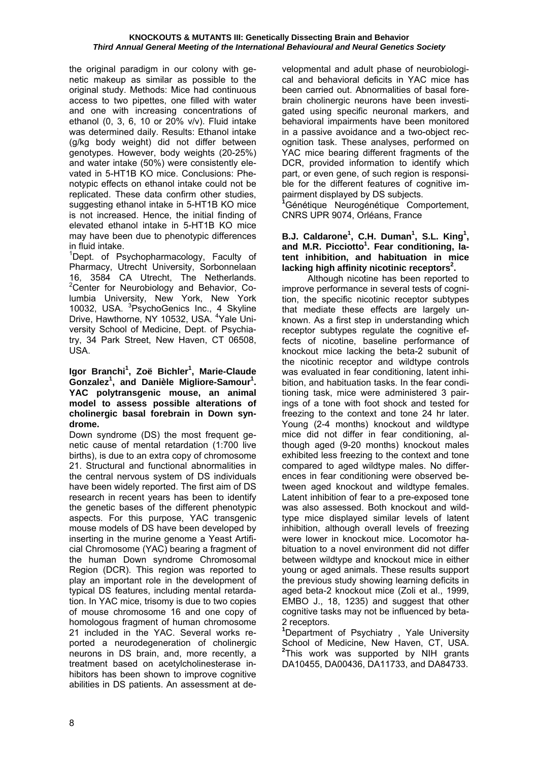the original paradigm in our colony with genetic makeup as similar as possible to the original study. Methods: Mice had continuous access to two pipettes, one filled with water and one with increasing concentrations of ethanol (0, 3, 6, 10 or 20% v/v). Fluid intake was determined daily. Results: Ethanol intake (g/kg body weight) did not differ between genotypes. However, body weights (20-25%) and water intake (50%) were consistently elevated in 5-HT1B KO mice. Conclusions: Phenotypic effects on ethanol intake could not be replicated. These data confirm other studies, suggesting ethanol intake in 5-HT1B KO mice is not increased. Hence, the initial finding of elevated ethanol intake in 5-HT1B KO mice may have been due to phenotypic differences in fluid intake.

<sup>1</sup>Dept. of Psychopharmacology, Faculty of Pharmacy, Utrecht University, Sorbonnelaan 16, 3584 CA Utrecht, The Netherlands. <sup>2</sup> Center for Neurobiology and Behavior, Columbia University, New York, New York 10032, USA. <sup>3</sup>PsychoGenics Inc., 4 Skyline Drive, Hawthorne, NY 10532, USA. <sup>4</sup>Yale University School of Medicine, Dept. of Psychiatry, 34 Park Street, New Haven, CT 06508, USA.

#### **Igor Branchi1 , Zoë Bichler<sup>1</sup> , Marie-Claude**  Gonzalez<sup>1</sup>, and Danièle Migliore-Samour<sup>1</sup>. **YAC polytransgenic mouse, an animal model to assess possible alterations of cholinergic basal forebrain in Down syndrome.**

Down syndrome (DS) the most frequent genetic cause of mental retardation (1:700 live births), is due to an extra copy of chromosome 21. Structural and functional abnormalities in the central nervous system of DS individuals have been widely reported. The first aim of DS research in recent years has been to identify the genetic bases of the different phenotypic aspects. For this purpose, YAC transgenic mouse models of DS have been developed by inserting in the murine genome a Yeast Artificial Chromosome (YAC) bearing a fragment of the human Down syndrome Chromosomal Region (DCR). This region was reported to play an important role in the development of typical DS features, including mental retardation. In YAC mice, trisomy is due to two copies of mouse chromosome 16 and one copy of homologous fragment of human chromosome 21 included in the YAC. Several works reported a neurodegeneration of cholinergic neurons in DS brain, and, more recently, a treatment based on acetylcholinesterase inhibitors has been shown to improve cognitive abilities in DS patients. An assessment at developmental and adult phase of neurobiological and behavioral deficits in YAC mice has been carried out. Abnormalities of basal forebrain cholinergic neurons have been investigated using specific neuronal markers, and behavioral impairments have been monitored in a passive avoidance and a two-object recognition task. These analyses, performed on YAC mice bearing different fragments of the DCR, provided information to identify which part, or even gene, of such region is responsible for the different features of cognitive impairment displayed by DS subjects.

<sup>1</sup>Génétique Neurogénétique Comportement, CNRS UPR 9074, Orléans, France

B.J. Caldarone<sup>1</sup>, C.H. Duman<sup>1</sup>, S.L. King<sup>1</sup>, and M.R. Picciotto<sup>1</sup>. Fear conditioning, la**tent inhibition, and habituation in mice**  lacking high affinity nicotinic receptors<sup>2</sup>.

 Although nicotine has been reported to improve performance in several tests of cognition, the specific nicotinic receptor subtypes that mediate these effects are largely unknown. As a first step in understanding which receptor subtypes regulate the cognitive effects of nicotine, baseline performance of knockout mice lacking the beta-2 subunit of the nicotinic receptor and wildtype controls was evaluated in fear conditioning, latent inhibition, and habituation tasks. In the fear conditioning task, mice were administered 3 pairings of a tone with foot shock and tested for freezing to the context and tone 24 hr later. Young (2-4 months) knockout and wildtype mice did not differ in fear conditioning, although aged (9-20 months) knockout males exhibited less freezing to the context and tone compared to aged wildtype males. No differences in fear conditioning were observed between aged knockout and wildtype females. Latent inhibition of fear to a pre-exposed tone was also assessed. Both knockout and wildtype mice displayed similar levels of latent inhibition, although overall levels of freezing were lower in knockout mice. Locomotor habituation to a novel environment did not differ between wildtype and knockout mice in either young or aged animals. These results support the previous study showing learning deficits in aged beta-2 knockout mice (Zoli et al., 1999, EMBO J., 18, 1235) and suggest that other cognitive tasks may not be influenced by beta-2 receptors.

**1** Department of Psychiatry , Yale University School of Medicine, New Haven, CT, USA. **2** This work was supported by NIH grants DA10455, DA00436, DA11733, and DA84733.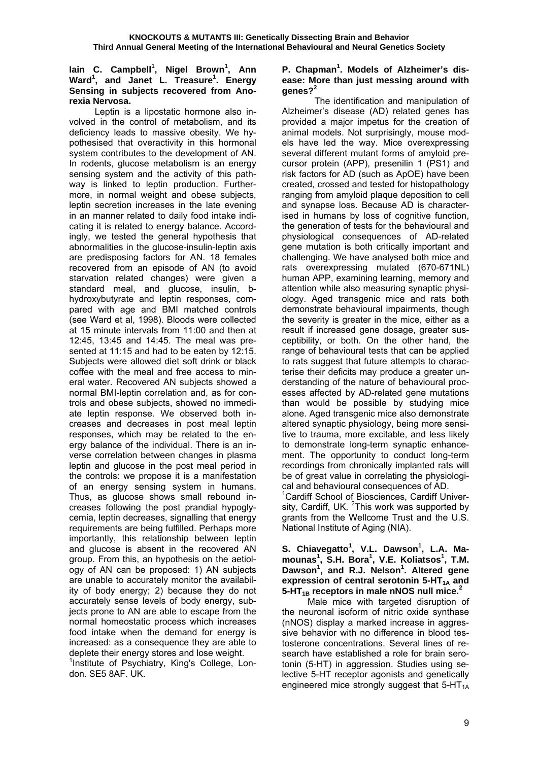#### lain C. Campbell<sup>1</sup>, Nigel Brown<sup>1</sup>, Ann **Ward<sup>1</sup> , and Janet L. Treasure<sup>1</sup> . Energy Sensing in subjects recovered from Anorexia Nervosa.**

 Leptin is a lipostatic hormone also involved in the control of metabolism, and its deficiency leads to massive obesity. We hypothesised that overactivity in this hormonal system contributes to the development of AN. In rodents, glucose metabolism is an energy sensing system and the activity of this pathway is linked to leptin production. Furthermore, in normal weight and obese subjects, leptin secretion increases in the late evening in an manner related to daily food intake indicating it is related to energy balance. Accordingly, we tested the general hypothesis that abnormalities in the glucose-insulin-leptin axis are predisposing factors for AN. 18 females recovered from an episode of AN (to avoid starvation related changes) were given a standard meal, and glucose, insulin, bhydroxybutyrate and leptin responses, compared with age and BMI matched controls (see Ward et al, 1998). Bloods were collected at 15 minute intervals from 11:00 and then at 12:45, 13:45 and 14:45. The meal was presented at 11:15 and had to be eaten by 12:15. Subjects were allowed diet soft drink or black coffee with the meal and free access to mineral water. Recovered AN subjects showed a normal BMI-leptin correlation and, as for controls and obese subjects, showed no immediate leptin response. We observed both increases and decreases in post meal leptin responses, which may be related to the energy balance of the individual. There is an inverse correlation between changes in plasma leptin and glucose in the post meal period in the controls: we propose it is a manifestation of an energy sensing system in humans. Thus, as glucose shows small rebound increases following the post prandial hypoglycemia, leptin decreases, signalling that energy requirements are being fulfilled. Perhaps more importantly, this relationship between leptin and glucose is absent in the recovered AN group. From this, an hypothesis on the aetiology of AN can be proposed: 1) AN subjects are unable to accurately monitor the availability of body energy; 2) because they do not accurately sense levels of body energy, subjects prone to AN are able to escape from the normal homeostatic process which increases food intake when the demand for energy is increased: as a consequence they are able to deplete their energy stores and lose weight.

<sup>1</sup>Institute of Psychiatry, King's College, London. SE5 8AF. UK.

## P. Chapman<sup>1</sup>. Models of Alzheimer's dis**ease: More than just messing around with genes?<sup>2</sup>**

 The identification and manipulation of Alzheimer's disease (AD) related genes has provided a major impetus for the creation of animal models. Not surprisingly, mouse models have led the way. Mice overexpressing several different mutant forms of amyloid precursor protein (APP), presenilin 1 (PS1) and risk factors for AD (such as ApOE) have been created, crossed and tested for histopathology ranging from amyloid plaque deposition to cell and synapse loss. Because AD is characterised in humans by loss of cognitive function, the generation of tests for the behavioural and physiological consequences of AD-related gene mutation is both critically important and challenging. We have analysed both mice and rats overexpressing mutated (670-671NL) human APP, examining learning, memory and attention while also measuring synaptic physiology. Aged transgenic mice and rats both demonstrate behavioural impairments, though the severity is greater in the mice, either as a result if increased gene dosage, greater susceptibility, or both. On the other hand, the range of behavioural tests that can be applied to rats suggest that future attempts to characterise their deficits may produce a greater understanding of the nature of behavioural processes affected by AD-related gene mutations than would be possible by studying mice alone. Aged transgenic mice also demonstrate altered synaptic physiology, being more sensitive to trauma, more excitable, and less likely to demonstrate long-term synaptic enhancement. The opportunity to conduct long-term recordings from chronically implanted rats will be of great value in correlating the physiological and behavioural consequences of AD.

<sup>1</sup>Cardiff School of Biosciences, Cardiff University, Cardiff, UK. <sup>2</sup>This work was supported by grants from the Wellcome Trust and the U.S. National Institute of Aging (NIA).

#### S. Chiavegatto<sup>1</sup>, V.L. Dawson<sup>1</sup>, L.A. Ma**mounas<sup>1</sup> , S.H. Bora<sup>1</sup> , V.E. Koliatsos<sup>1</sup> , T.M. Dawson<sup>1</sup> , and R.J. Nelson<sup>1</sup> . Altered gene expression of central serotonin 5-HT<sub>1A</sub> and** 5-HT<sub>1B</sub> receptors in male nNOS null mice.<sup>2</sup>

 Male mice with targeted disruption of the neuronal isoform of nitric oxide synthase (nNOS) display a marked increase in aggressive behavior with no difference in blood testosterone concentrations. Several lines of research have established a role for brain serotonin (5-HT) in aggression. Studies using selective 5-HT receptor agonists and genetically engineered mice strongly suggest that  $5-HT_{1A}$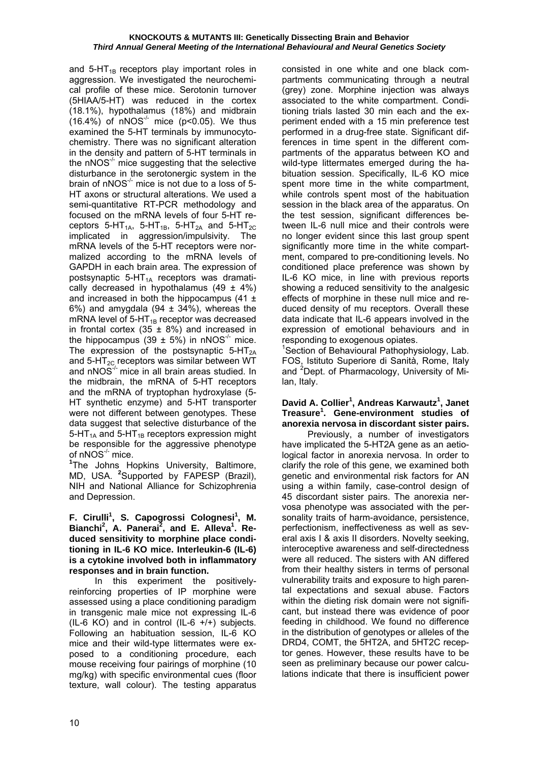and  $5-HT_{1B}$  receptors play important roles in aggression. We investigated the neurochemical profile of these mice. Serotonin turnover (5HIAA/5-HT) was reduced in the cortex (18.1%), hypothalamus (18%) and midbrain  $(16.4\%)$  of nNOS<sup>-/-</sup> mice (p<0.05). We thus examined the 5-HT terminals by immunocytochemistry. There was no significant alteration in the density and pattern of 5-HT terminals in the nNOS $<sup>-/-</sup>$  mice suggesting that the selective</sup> disturbance in the serotonergic system in the brain of nNOS $^{\prime}$  mice is not due to a loss of 5-HT axons or structural alterations. We used a semi-quantitative RT-PCR methodology and focused on the mRNA levels of four 5-HT receptors  $5-HT_{14}$ ,  $5-HT_{1B}$ ,  $5-HT_{24}$  and  $5-HT_{2C}$ implicated in aggression/impulsivity. The mRNA levels of the 5-HT receptors were normalized according to the mRNA levels of GAPDH in each brain area. The expression of postsynaptic  $5-HT_{1A}$  receptors was dramatically decreased in hypothalamus  $(49 \pm 4\%)$ and increased in both the hippocampus  $(41 \pm$ 6%) and amygdala (94  $\pm$  34%), whereas the mRNA level of  $5-HT_{1B}$  receptor was decreased in frontal cortex (35  $\pm$  8%) and increased in the hippocampus (39  $\pm$  5%) in nNOS<sup>-/-</sup> mice. The expression of the postsynaptic  $5-HT_{2A}$ and  $5-\text{HT}_{2C}$  receptors was similar between WT and  $nNOS^{-1}$  mice in all brain areas studied. In the midbrain, the mRNA of 5-HT receptors and the mRNA of tryptophan hydroxylase (5- HT synthetic enzyme) and 5-HT transporter were not different between genotypes. These data suggest that selective disturbance of the  $5-HT<sub>1A</sub>$  and  $5-HT<sub>1B</sub>$  receptors expression might be responsible for the aggressive phenotype of nNOS-/- mice.

**1** The Johns Hopkins University, Baltimore, MD, USA. **<sup>2</sup>** Supported by FAPESP (Brazil), NIH and National Alliance for Schizophrenia and Depression.

#### **F. Cirulli<sup>1</sup>, S. Capogrossi Colognesi<sup>1</sup>, M.** Bianchi<sup>2</sup>, A. Panerai<sup>2</sup>, and E. Alleva<sup>1</sup>. Re**duced sensitivity to morphine place conditioning in IL-6 KO mice. Interleukin-6 (IL-6) is a cytokine involved both in inflammatory responses and in brain function.**

 In this experiment the positivelyreinforcing properties of IP morphine were assessed using a place conditioning paradigm in transgenic male mice not expressing IL-6 (IL-6 KO) and in control (IL-6 +/+) subjects. Following an habituation session, IL-6 KO mice and their wild-type littermates were exposed to a conditioning procedure, each mouse receiving four pairings of morphine (10 mg/kg) with specific environmental cues (floor texture, wall colour). The testing apparatus consisted in one white and one black compartments communicating through a neutral (grey) zone. Morphine injection was always associated to the white compartment. Conditioning trials lasted 30 min each and the experiment ended with a 15 min preference test performed in a drug-free state. Significant differences in time spent in the different compartments of the apparatus between KO and wild-type littermates emerged during the habituation session. Specifically, IL-6 KO mice spent more time in the white compartment. while controls spent most of the habituation session in the black area of the apparatus. On the test session, significant differences between IL-6 null mice and their controls were no longer evident since this last group spent significantly more time in the white compartment, compared to pre-conditioning levels. No conditioned place preference was shown by IL-6 KO mice, in line with previous reports showing a reduced sensitivity to the analgesic effects of morphine in these null mice and reduced density of mu receptors. Overall these data indicate that IL-6 appears involved in the expression of emotional behaviours and in responding to exogenous opiates.

<sup>1</sup>Section of Behavioural Pathophysiology, Lab. FOS, Istituto Superiore di Sanità, Rome, Italy and <sup>2</sup>Dept. of Pharmacology, University of Milan, Italy.

## **David A. Collier1 , Andreas Karwautz<sup>1</sup> , Janet Treasure<sup>1</sup> . Gene-environment studies of anorexia nervosa in discordant sister pairs.**

 Previously, a number of investigators have implicated the 5-HT2A gene as an aetiological factor in anorexia nervosa. In order to clarify the role of this gene, we examined both genetic and environmental risk factors for AN using a within family, case-control design of 45 discordant sister pairs. The anorexia nervosa phenotype was associated with the personality traits of harm-avoidance, persistence, perfectionism, ineffectiveness as well as several axis I & axis II disorders. Novelty seeking, interoceptive awareness and self-directedness were all reduced. The sisters with AN differed from their healthy sisters in terms of personal vulnerability traits and exposure to high parental expectations and sexual abuse. Factors within the dieting risk domain were not significant, but instead there was evidence of poor feeding in childhood. We found no difference in the distribution of genotypes or alleles of the DRD4, COMT, the 5HT2A, and 5HT2C receptor genes. However, these results have to be seen as preliminary because our power calculations indicate that there is insufficient power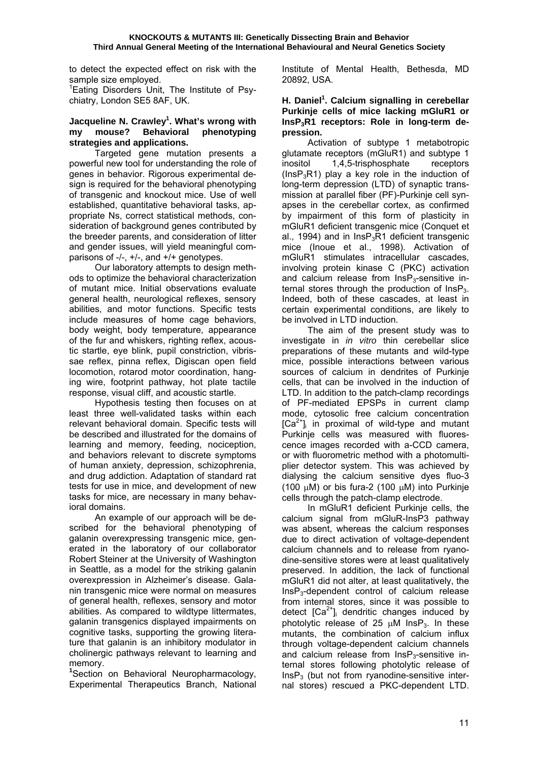to detect the expected effect on risk with the sample size employed.

<sup>1</sup>Eating Disorders Unit, The Institute of Psychiatry, London SE5 8AF, UK.

#### **Jacqueline N. Crawley1 . What's wrong with my mouse? Behavioral phenotyping strategies and applications.**

 Targeted gene mutation presents a powerful new tool for understanding the role of genes in behavior. Rigorous experimental design is required for the behavioral phenotyping of transgenic and knockout mice. Use of well established, quantitative behavioral tasks, appropriate Ns, correct statistical methods, consideration of background genes contributed by the breeder parents, and consideration of litter and gender issues, will yield meaningful comparisons of -/-, +/-, and +/+ genotypes.

 Our laboratory attempts to design methods to optimize the behavioral characterization of mutant mice. Initial observations evaluate general health, neurological reflexes, sensory abilities, and motor functions. Specific tests include measures of home cage behaviors, body weight, body temperature, appearance of the fur and whiskers, righting reflex, acoustic startle, eye blink, pupil constriction, vibrissae reflex, pinna reflex, Digiscan open field locomotion, rotarod motor coordination, hanging wire, footprint pathway, hot plate tactile response, visual cliff, and acoustic startle.

 Hypothesis testing then focuses on at least three well-validated tasks within each relevant behavioral domain. Specific tests will be described and illustrated for the domains of learning and memory, feeding, nociception, and behaviors relevant to discrete symptoms of human anxiety, depression, schizophrenia, and drug addiction. Adaptation of standard rat tests for use in mice, and development of new tasks for mice, are necessary in many behavioral domains.

 An example of our approach will be described for the behavioral phenotyping of galanin overexpressing transgenic mice, generated in the laboratory of our collaborator Robert Steiner at the University of Washington in Seattle, as a model for the striking galanin overexpression in Alzheimer's disease. Galanin transgenic mice were normal on measures of general health, reflexes, sensory and motor abilities. As compared to wildtype littermates, galanin transgenics displayed impairments on cognitive tasks, supporting the growing literature that galanin is an inhibitory modulator in cholinergic pathways relevant to learning and memory.

**1** Section on Behavioral Neuropharmacology, Experimental Therapeutics Branch, National

Institute of Mental Health, Bethesda, MD 20892, USA.

#### H. Daniel<sup>1</sup>. Calcium signalling in cerebellar **Purkinje cells of mice lacking mGluR1 or InsP3R1 receptors: Role in long-term depression.**

 Activation of subtype 1 metabotropic glutamate receptors (mGluR1) and subtype 1 inositol 1,4,5-trisphosphate receptors ( $\text{InsP}_3\text{R}1$ ) play a key role in the induction of long-term depression (LTD) of synaptic transmission at parallel fiber (PF)-Purkinje cell synapses in the cerebellar cortex, as confirmed by impairment of this form of plasticity in mGluR1 deficient transgenic mice (Conquet et al., 1994) and in  $InSP<sub>3</sub>R1$  deficient transgenic mice (Inoue et al., 1998). Activation of mGluR1 stimulates intracellular cascades, involving protein kinase C (PKC) activation and calcium release from  $InSP<sub>3</sub>-sensitive$  internal stores through the production of  $InSP<sub>3</sub>$ . Indeed, both of these cascades, at least in certain experimental conditions, are likely to be involved in LTD induction.

 The aim of the present study was to investigate in *in vitro* thin cerebellar slice preparations of these mutants and wild-type mice, possible interactions between various sources of calcium in dendrites of Purkinie cells, that can be involved in the induction of LTD. In addition to the patch-clamp recordings of PF-mediated EPSPs in current clamp mode, cytosolic free calcium concentration  $[Ca^{2+}$ <sub>i</sub> in proximal of wild-type and mutant Purkinje cells was measured with fluorescence images recorded with a-CCD camera, or with fluorometric method with a photomultiplier detector system. This was achieved by dialysing the calcium sensitive dyes fluo-3 (100 µM) or bis fura-2 (100 µM) into Purkinje cells through the patch-clamp electrode.

 In mGluR1 deficient Purkinje cells, the calcium signal from mGluR-InsP3 pathway was absent, whereas the calcium responses due to direct activation of voltage-dependent calcium channels and to release from ryanodine-sensitive stores were at least qualitatively preserved. In addition, the lack of functional mGluR1 did not alter, at least qualitatively, the InsP3-dependent control of calcium release from internal stores, since it was possible to detect  $[Ca^{2+}]$  dendritic changes induced by photolytic release of 25  $\mu$ M InsP<sub>3</sub>. In these mutants, the combination of calcium influx through voltage-dependent calcium channels and calcium release from  $InsPs$ -sensitive internal stores following photolytic release of  $InsP<sub>3</sub>$  (but not from ryanodine-sensitive internal stores) rescued a PKC-dependent LTD.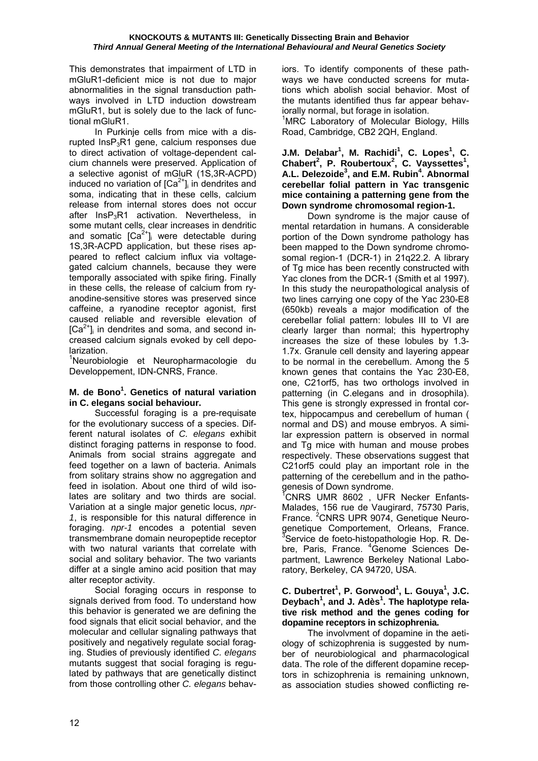This demonstrates that impairment of LTD in mGluR1-deficient mice is not due to major abnormalities in the signal transduction pathways involved in LTD induction dowstream mGluR1, but is solely due to the lack of functional mGluR1.

 In Purkinje cells from mice with a disrupted  $InsP_3R1$  gene, calcium responses due to direct activation of voltage-dependent calcium channels were preserved. Application of a selective agonist of mGluR (1S,3R-ACPD) induced no variation of  $[Ca<sup>2+</sup>]$  in dendrites and soma, indicating that in these cells, calcium release from internal stores does not occur after  $InSP<sub>3</sub>R1$  activation. Nevertheless, in some mutant cells, clear increases in dendritic and somatic  $[Ca^{2+}]\text{,}$  were detectable during 1S,3R-ACPD application, but these rises appeared to reflect calcium influx via voltagegated calcium channels, because they were temporally associated with spike firing. Finally in these cells, the release of calcium from ryanodine-sensitive stores was preserved since caffeine, a ryanodine receptor agonist, first caused reliable and reversible elevation of  $[Ca<sup>2+</sup>]$  in dendrites and soma, and second increased calcium signals evoked by cell depolarization.

<sup>1</sup>Neurobiologie et Neuropharmacologie du Developpement, IDN-CNRS, France.

## **M. de Bono1 . Genetics of natural variation in C. elegans social behaviour.**

 Successful foraging is a pre-requisate for the evolutionary success of a species. Different natural isolates of *C. elegans* exhibit distinct foraging patterns in response to food. Animals from social strains aggregate and feed together on a lawn of bacteria. Animals from solitary strains show no aggregation and feed in isolation. About one third of wild isolates are solitary and two thirds are social. Variation at a single major genetic locus, *npr-1*, is responsible for this natural difference in foraging. *npr-1* encodes a potential seven transmembrane domain neuropeptide receptor with two natural variants that correlate with social and solitary behavior. The two variants differ at a single amino acid position that may alter receptor activity.

 Social foraging occurs in response to signals derived from food. To understand how this behavior is generated we are defining the food signals that elicit social behavior, and the molecular and cellular signaling pathways that positively and negatively regulate social foraging. Studies of previously identified *C. elegans* mutants suggest that social foraging is regulated by pathways that are genetically distinct from those controlling other *C. elegans* behaviors. To identify components of these pathways we have conducted screens for mutations which abolish social behavior. Most of the mutants identified thus far appear behaviorally normal, but forage in isolation.

<sup>1</sup>MRC Laboratory of Molecular Biology, Hills Road, Cambridge, CB2 2QH, England.

#### **J.M. Delabar<sup>1</sup>, M. Rachidi<sup>1</sup>, C. Lopes<sup>1</sup>, C. Chabert<sup>2</sup> , P. Roubertoux<sup>2</sup> , C. Vayssettes<sup>1</sup> , A.L. Delezoide<sup>3</sup> , and E.M. Rubin4 . Abnormal cerebellar folial pattern in Yac transgenic mice containing a patterning gene from the Down syndrome chromosomal region-1.**

 Down syndrome is the major cause of mental retardation in humans. A considerable portion of the Down syndrome pathology has been mapped to the Down syndrome chromosomal region-1 (DCR-1) in 21q22.2. A library of Tg mice has been recently constructed with Yac clones from the DCR-1 (Smith et al 1997). In this study the neuropathological analysis of two lines carrying one copy of the Yac 230-E8 (650kb) reveals a major modification of the cerebellar folial pattern: lobules III to VI are clearly larger than normal; this hypertrophy increases the size of these lobules by 1.3- 1.7x. Granule cell density and layering appear to be normal in the cerebellum. Among the 5 known genes that contains the Yac 230-E8, one, C21orf5, has two orthologs involved in patterning (in C.elegans and in drosophila). This gene is strongly expressed in frontal cortex, hippocampus and cerebellum of human ( normal and DS) and mouse embryos. A similar expression pattern is observed in normal and Tg mice with human and mouse probes respectively. These observations suggest that C21orf5 could play an important role in the patterning of the cerebellum and in the pathogenesis of Down syndrome.

1 CNRS UMR 8602 , UFR Necker Enfants-Malades, 156 rue de Vaugirard, 75730 Paris, France. <sup>2</sup>CNRS UPR 9074, Genetique Neurogenetique Comportement, Orleans, France. <sup>3</sup>Service de foeto-histopathologie Hop. R. Debre, Paris, France. <sup>4</sup> Genome Sciences Department, Lawrence Berkeley National Laboratory, Berkeley, CA 94720, USA.

#### **C. Dubertret<sup>1</sup> , P. Gorwood1 , L. Gouya<sup>1</sup> , J.C. Deybach<sup>1</sup> , and J. Adès<sup>1</sup> . The haplotype relative risk method and the genes coding for dopamine receptors in schizophrenia.**

 The involvment of dopamine in the aetiology of schizophrenia is suggested by number of neurobiological and pharmacological data. The role of the different dopamine receptors in schizophrenia is remaining unknown, as association studies showed conflicting re-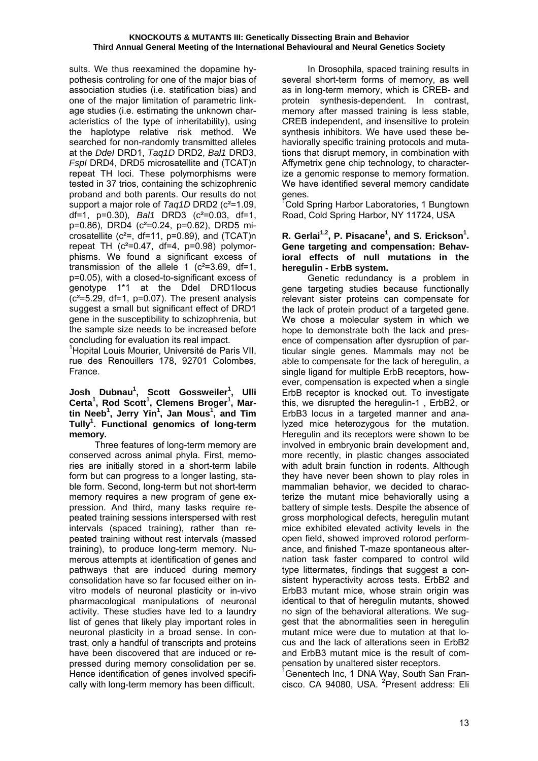sults. We thus reexamined the dopamine hypothesis controling for one of the major bias of association studies (i.e. statification bias) and one of the major limitation of parametric linkage studies (i.e. estimating the unknown characteristics of the type of inheritability), using the haplotype relative risk method. We searched for non-randomly transmitted alleles at the *DdeI* DRD1, *Taq1D* DRD2, *Bal1* DRD3, *FspI* DRD4, DRD5 microsatellite and (TCAT)n repeat TH loci. These polymorphisms were tested in 37 trios, containing the schizophrenic proband and both parents. Our results do not support a major role of *Taq1D* DRD2 (c<sup>2</sup>=1.09, df=1, p=0.30), *Bal1* DRD3 (c²=0.03, df=1, p=0.86), DRD4 (c²=0.24, p=0.62), DRD5 microsatellite  $(c^2=$ , df=11, p=0.89), and  $(TCAT)$ n repeat TH  $(c^2=0.47, df=4, p=0.98)$  polymorphisms. We found a significant excess of transmission of the allele 1  $(c^2=3.69, df=1,$ p=0.05), with a closed-to-significant excess of genotype 1\*1 at the DdeI DRD1locus  $(c<sup>2</sup>=5.29, df=1, p=0.07)$ . The present analysis suggest a small but significant effect of DRD1 gene in the susceptibility to schizophrenia, but the sample size needs to be increased before concluding for evaluation its real impact.

1 Hopital Louis Mourier, Université de Paris VII, rue des Renouillers 178, 92701 Colombes, France.

#### **Josh Dubnau<sup>1</sup> , Scott Gossweiler1 , Ulli Certa<sup>1</sup> , Rod Scott<sup>1</sup> , Clemens Broger<sup>1</sup> , Martin Neeb<sup>1</sup> , Jerry Yin<sup>1</sup> , Jan Mous<sup>1</sup> , and Tim Tully1 . Functional genomics of long-term memory.**

 Three features of long-term memory are conserved across animal phyla. First, memories are initially stored in a short-term labile form but can progress to a longer lasting, stable form. Second, long-term but not short-term memory requires a new program of gene expression. And third, many tasks require repeated training sessions interspersed with rest intervals (spaced training), rather than repeated training without rest intervals (massed training), to produce long-term memory. Numerous attempts at identification of genes and pathways that are induced during memory consolidation have so far focused either on invitro models of neuronal plasticity or in-vivo pharmacological manipulations of neuronal activity. These studies have led to a laundry list of genes that likely play important roles in neuronal plasticity in a broad sense. In contrast, only a handful of transcripts and proteins have been discovered that are induced or repressed during memory consolidation per se. Hence identification of genes involved specifically with long-term memory has been difficult.

 In Drosophila, spaced training results in several short-term forms of memory, as well as in long-term memory, which is CREB- and protein synthesis-dependent. In contrast, memory after massed training is less stable, CREB independent, and insensitive to protein synthesis inhibitors. We have used these behaviorally specific training protocols and mutations that disrupt memory, in combination with Affymetrix gene chip technology, to characterize a genomic response to memory formation. We have identified several memory candidate genes.

<sup>T</sup>Cold Spring Harbor Laboratories, 1 Bungtown Road, Cold Spring Harbor, NY 11724, USA

## R. Gerlai<sup>1,2</sup>, P. Pisacane<sup>1</sup>, and S. Erickson<sup>1</sup>. **Gene targeting and compensation: Behavioral effects of null mutations in the heregulin - ErbB system.**

 Genetic redundancy is a problem in gene targeting studies because functionally relevant sister proteins can compensate for the lack of protein product of a targeted gene. We chose a molecular system in which we hope to demonstrate both the lack and presence of compensation after dysruption of particular single genes. Mammals may not be able to compensate for the lack of heregulin, a single ligand for multiple ErbB receptors, however, compensation is expected when a single ErbB receptor is knocked out. To investigate this, we disrupted the heregulin-1 , ErbB2, or ErbB3 locus in a targeted manner and analyzed mice heterozygous for the mutation. Heregulin and its receptors were shown to be involved in embryonic brain development and, more recently, in plastic changes associated with adult brain function in rodents. Although they have never been shown to play roles in mammalian behavior, we decided to characterize the mutant mice behaviorally using a battery of simple tests. Despite the absence of gross morphological defects, heregulin mutant mice exhibited elevated activity levels in the open field, showed improved rotorod performance, and finished T-maze spontaneous alternation task faster compared to control wild type littermates, findings that suggest a consistent hyperactivity across tests. ErbB2 and ErbB3 mutant mice, whose strain origin was identical to that of heregulin mutants, showed no sign of the behavioral alterations. We suggest that the abnormalities seen in heregulin mutant mice were due to mutation at that locus and the lack of alterations seen in ErbB2 and ErbB3 mutant mice is the result of compensation by unaltered sister receptors.

<sup>1</sup> Genentech Inc, 1 DNA Way, South San Francisco. CA 94080, USA. <sup>2</sup>Present address: Eli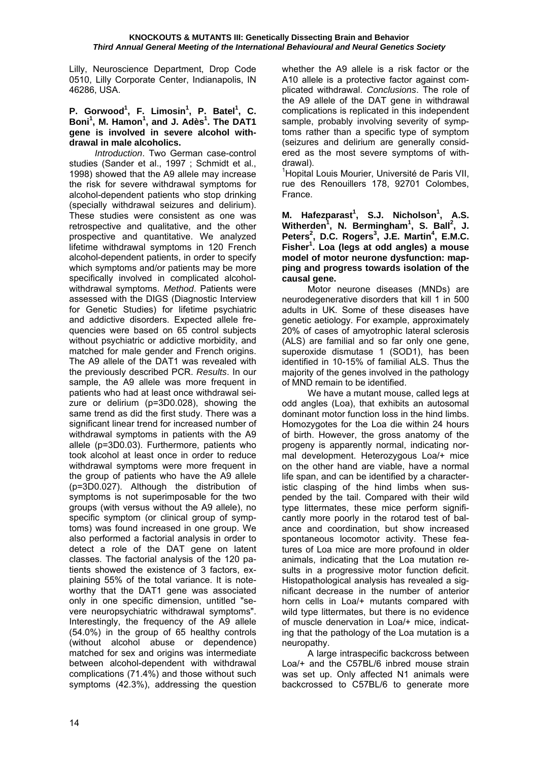Lilly, Neuroscience Department, Drop Code 0510, Lilly Corporate Center, Indianapolis, IN 46286, USA.

## **P.** Gorwood<sup>1</sup>, F. Limosin<sup>1</sup>, P. Batel<sup>1</sup>, C. **Boni1 , M. Hamon<sup>1</sup> , and J. Adès<sup>1</sup> . The DAT1 gene is involved in severe alcohol withdrawal in male alcoholics.**

*Introduction*. Two German case-control studies (Sander et al., 1997 ; Schmidt et al., 1998) showed that the A9 allele may increase the risk for severe withdrawal symptoms for alcohol-dependent patients who stop drinking (specially withdrawal seizures and delirium). These studies were consistent as one was retrospective and qualitative, and the other prospective and quantitative. We analyzed lifetime withdrawal symptoms in 120 French alcohol-dependent patients, in order to specify which symptoms and/or patients may be more specifically involved in complicated alcoholwithdrawal symptoms. *Method*. Patients were assessed with the DIGS (Diagnostic Interview for Genetic Studies) for lifetime psychiatric and addictive disorders. Expected allele frequencies were based on 65 control subjects without psychiatric or addictive morbidity, and matched for male gender and French origins. The A9 allele of the DAT1 was revealed with the previously described PCR. *Results*. In our sample, the A9 allele was more frequent in patients who had at least once withdrawal seizure or delirium (p=3D0.028), showing the same trend as did the first study. There was a significant linear trend for increased number of withdrawal symptoms in patients with the A9 allele (p=3D0.03). Furthermore, patients who took alcohol at least once in order to reduce withdrawal symptoms were more frequent in the group of patients who have the A9 allele (p=3D0.027). Although the distribution of symptoms is not superimposable for the two groups (with versus without the A9 allele), no specific symptom (or clinical group of symptoms) was found increased in one group. We also performed a factorial analysis in order to detect a role of the DAT gene on latent classes. The factorial analysis of the 120 patients showed the existence of 3 factors, explaining 55% of the total variance. It is noteworthy that the DAT1 gene was associated only in one specific dimension, untitled "severe neuropsychiatric withdrawal symptoms". Interestingly, the frequency of the A9 allele (54.0%) in the group of 65 healthy controls (without alcohol abuse or dependence) matched for sex and origins was intermediate between alcohol-dependent with withdrawal complications (71.4%) and those without such symptoms (42.3%), addressing the question

whether the A9 allele is a risk factor or the A10 allele is a protective factor against complicated withdrawal. *Conclusions*. The role of the A9 allele of the DAT gene in withdrawal complications is replicated in this independent sample, probably involving severity of symptoms rather than a specific type of symptom (seizures and delirium are generally considered as the most severe symptoms of withdrawal).

<sup>1</sup>Hopital Louis Mourier, Université de Paris VII, rue des Renouillers 178, 92701 Colombes, France.

**M. Hafezparast<sup>1</sup> , S.J. Nicholson<sup>1</sup> , A.S.**  Witherden<sup>1</sup>, N. Bermingham<sup>1</sup>, S. Ball<sup>2</sup>, J. **Peters<sup>2</sup> , D.C. Rogers<sup>3</sup> , J.E. Martin<sup>4</sup> , E.M.C. Fisher1 . Loa (legs at odd angles) a mouse model of motor neurone dysfunction: mapping and progress towards isolation of the causal gene.** 

 Motor neurone diseases (MNDs) are neurodegenerative disorders that kill 1 in 500 adults in UK. Some of these diseases have genetic aetiology. For example, approximately 20% of cases of amyotrophic lateral sclerosis (ALS) are familial and so far only one gene, superoxide dismutase 1 (SOD1), has been identified in 10-15% of familial ALS. Thus the majority of the genes involved in the pathology of MND remain to be identified.

We have a mutant mouse, called legs at odd angles (Loa), that exhibits an autosomal dominant motor function loss in the hind limbs. Homozygotes for the Loa die within 24 hours of birth. However, the gross anatomy of the progeny is apparently normal, indicating normal development. Heterozygous Loa/+ mice on the other hand are viable, have a normal life span, and can be identified by a characteristic clasping of the hind limbs when suspended by the tail. Compared with their wild type littermates, these mice perform significantly more poorly in the rotarod test of balance and coordination, but show increased spontaneous locomotor activity. These features of Loa mice are more profound in older animals, indicating that the Loa mutation results in a progressive motor function deficit. Histopathological analysis has revealed a significant decrease in the number of anterior horn cells in Loa/+ mutants compared with wild type littermates, but there is no evidence of muscle denervation in Loa/+ mice, indicating that the pathology of the Loa mutation is a neuropathy.

 A large intraspecific backcross between Loa/+ and the C57BL/6 inbred mouse strain was set up. Only affected N1 animals were backcrossed to C57BL/6 to generate more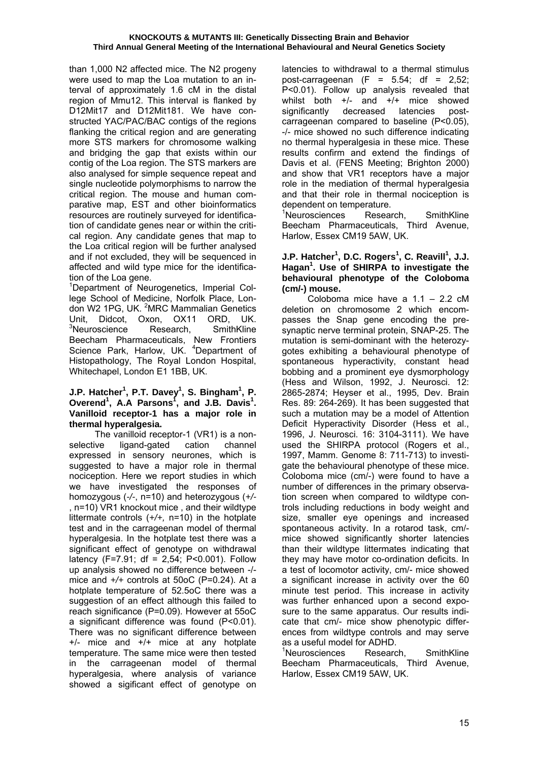than 1,000 N2 affected mice. The N2 progeny were used to map the Loa mutation to an interval of approximately 1.6 cM in the distal region of Mmu12. This interval is flanked by D12Mit17 and D12Mit181. We have constructed YAC/PAC/BAC contigs of the regions flanking the critical region and are generating more STS markers for chromosome walking and bridging the gap that exists within our contig of the Loa region. The STS markers are also analysed for simple sequence repeat and single nucleotide polymorphisms to narrow the critical region. The mouse and human comparative map, EST and other bioinformatics resources are routinely surveyed for identification of candidate genes near or within the critical region. Any candidate genes that map to the Loa critical region will be further analysed and if not excluded, they will be sequenced in affected and wild type mice for the identification of the Loa gene.

1 Department of Neurogenetics, Imperial College School of Medicine, Norfolk Place, London W2 1PG, UK. <sup>2</sup>MRC Mammalian Genetics Unit, Didcot, Oxon, OX11 ORD, UK. <sup>3</sup>Neuroscience Research, SmithKline Beecham Pharmaceuticals, New Frontiers Science Park, Harlow, UK. <sup>4</sup>Department of Histopathology, The Royal London Hospital, Whitechapel, London E1 1BB, UK.

#### **J.P. Hatcher<sup>1</sup>, P.T. Davey<sup>1</sup>, S. Bingham<sup>1</sup>, P. Overend<sup>1</sup> , A.A Parsons<sup>1</sup> , and J.B. Davis<sup>1</sup> . Vanilloid receptor-1 has a major role in thermal hyperalgesia.**

 The vanilloid receptor-1 (VR1) is a nonselective ligand-gated cation channel expressed in sensory neurones, which is suggested to have a major role in thermal nociception. Here we report studies in which we have investigated the responses of homozygous (*-/-*, n=10) and heterozygous (*+/-* , n=10) VR1 knockout mice , and their wildtype littermate controls (*+/+,* n=10) in the hotplate test and in the carrageenan model of thermal hyperalgesia. In the hotplate test there was a significant effect of genotype on withdrawal latency (F=7.91; df = 2,54; P<0.001). Follow up analysis showed no difference between -/ mice and *+/+* controls at 50oC (P=0.24). At a hotplate temperature of 52.5oC there was a suggestion of an effect although this failed to reach significance (P=0.09). However at 55oC a significant difference was found (P<0.01). There was no significant difference between +/- mice and +/+ mice at any hotplate temperature. The same mice were then tested in the carrageenan model of thermal hyperalgesia, where analysis of variance showed a sigificant effect of genotype on latencies to withdrawal to a thermal stimulus post-carrageenan  $(F = 5.54$ ; df = 2.52; P<0.01). Follow up analysis revealed that whilst both  $+/-$  and  $+/+$  mice showed significantly decreased latencies postcarrageenan compared to baseline (P<0.05), -/- mice showed no such difference indicating no thermal hyperalgesia in these mice. These results confirm and extend the findings of Davis et al. (FENS Meeting; Brighton 2000) and show that VR1 receptors have a major role in the mediation of thermal hyperalgesia and that their role in thermal nociception is dependent on temperature.

<sup>1</sup>Neurosciences Research, SmithKline Beecham Pharmaceuticals, Third Avenue, Harlow, Essex CM19 5AW, UK.

## **J.P. Hatcher<sup>1</sup>, D.C. Rogers<sup>1</sup>, C. Reavill<sup>1</sup>, J.J. Hagan<sup>1</sup> . Use of SHIRPA to investigate the behavioural phenotype of the Coloboma (cm/-) mouse.**

 Coloboma mice have a 1.1 – 2.2 cM deletion on chromosome 2 which encompasses the Snap gene encoding the presynaptic nerve terminal protein, SNAP-25. The mutation is semi-dominant with the heterozygotes exhibiting a behavioural phenotype of spontaneous hyperactivity, constant head bobbing and a prominent eye dysmorphology (Hess and Wilson, 1992, J. Neurosci. 12: 2865-2874; Heyser et al., 1995, Dev. Brain Res. 89: 264-269). It has been suggested that such a mutation may be a model of Attention Deficit Hyperactivity Disorder (Hess et al., 1996, J. Neurosci. 16: 3104-3111). We have used the SHIRPA protocol (Rogers et al., 1997, Mamm. Genome 8: 711-713) to investigate the behavioural phenotype of these mice. Coloboma mice (cm/-) were found to have a number of differences in the primary observation screen when compared to wildtype controls including reductions in body weight and size, smaller eye openings and increased spontaneous activity. In a rotarod task, cm/ mice showed significantly shorter latencies than their wildtype littermates indicating that they may have motor co-ordination deficits. In a test of locomotor activity, cm/- mice showed a significant increase in activity over the 60 minute test period. This increase in activity was further enhanced upon a second exposure to the same apparatus. Our results indicate that cm/- mice show phenotypic differences from wildtype controls and may serve as a useful model for ADHD.

<sup>1</sup>Neurosciences Research, SmithKline Beecham Pharmaceuticals, Third Avenue, Harlow, Essex CM19 5AW, UK.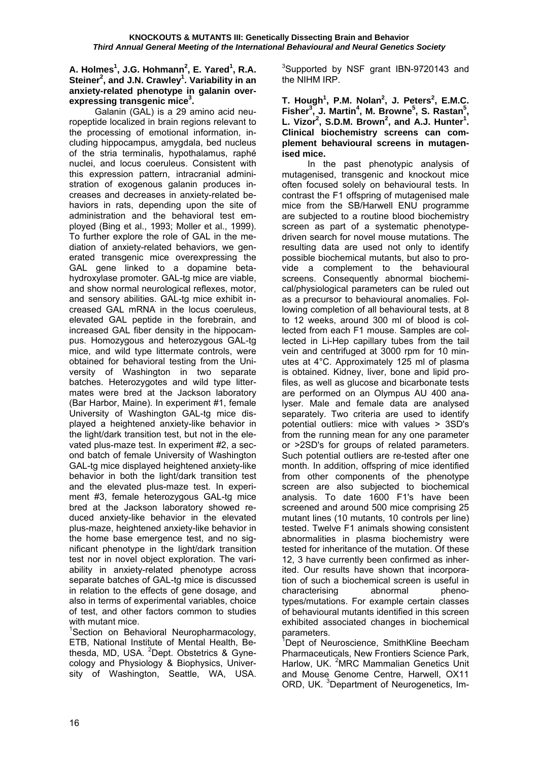#### **A. Holmes<sup>1</sup> , J.G. Hohmann<sup>2</sup> , E. Yared<sup>1</sup> , R.A.**  Steiner<sup>2</sup>, and J.N. Crawley<sup>1</sup>. Variability in an **anxiety-related phenotype in galanin overexpressing transgenic mice<sup>3</sup> .**

 Galanin (GAL) is a 29 amino acid neuropeptide localized in brain regions relevant to the processing of emotional information, including hippocampus, amygdala, bed nucleus of the stria terminalis, hypothalamus, raphé nuclei, and locus coeruleus. Consistent with this expression pattern, intracranial administration of exogenous galanin produces increases and decreases in anxiety-related behaviors in rats, depending upon the site of administration and the behavioral test employed (Bing et al., 1993; Moller et al., 1999). To further explore the role of GAL in the mediation of anxiety-related behaviors, we generated transgenic mice overexpressing the GAL gene linked to a dopamine betahydroxylase promoter. GAL-tg mice are viable, and show normal neurological reflexes, motor, and sensory abilities. GAL-tg mice exhibit increased GAL mRNA in the locus coeruleus, elevated GAL peptide in the forebrain, and increased GAL fiber density in the hippocampus. Homozygous and heterozygous GAL-tg mice, and wild type littermate controls, were obtained for behavioral testing from the University of Washington in two separate batches. Heterozygotes and wild type littermates were bred at the Jackson laboratory (Bar Harbor, Maine). In experiment #1, female University of Washington GAL-tg mice displayed a heightened anxiety-like behavior in the light/dark transition test, but not in the elevated plus-maze test. In experiment #2, a second batch of female University of Washington GAL-tg mice displayed heightened anxiety-like behavior in both the light/dark transition test and the elevated plus-maze test. In experiment #3, female heterozygous GAL-tg mice bred at the Jackson laboratory showed reduced anxiety-like behavior in the elevated plus-maze, heightened anxiety-like behavior in the home base emergence test, and no significant phenotype in the light/dark transition test nor in novel object exploration. The variability in anxiety-related phenotype across separate batches of GAL-tg mice is discussed in relation to the effects of gene dosage, and also in terms of experimental variables, choice of test, and other factors common to studies with mutant mice.

<sup>1</sup>Section on Behavioral Neuropharmacology, ETB, National Institute of Mental Health, Bethesda, MD, USA. <sup>2</sup>Dept. Obstetrics & Gynecology and Physiology & Biophysics, University of Washington, Seattle, WA, USA.

<sup>3</sup>Supported by NSF grant IBN-9720143 and the NIHM IRP.

**T. Hough1 , P.M. Nolan<sup>2</sup> , J. Peters<sup>2</sup> , E.M.C. Fisher3 , J. Martin<sup>4</sup> , M. Browne<sup>5</sup> , S. Rastan<sup>5</sup> ,**  L. Vizor<sup>2</sup>, S.D.M. Brown<sup>2</sup>, and A.J. Hunter<sup>1</sup>. **Clinical biochemistry screens can complement behavioural screens in mutagenised mice.** 

 In the past phenotypic analysis of mutagenised, transgenic and knockout mice often focused solely on behavioural tests. In contrast the F1 offspring of mutagenised male mice from the SB/Harwell ENU programme are subjected to a routine blood biochemistry screen as part of a systematic phenotypedriven search for novel mouse mutations. The resulting data are used not only to identify possible biochemical mutants, but also to provide a complement to the behavioural screens. Consequently abnormal biochemical/physiological parameters can be ruled out as a precursor to behavioural anomalies. Following completion of all behavioural tests, at 8 to 12 weeks, around 300 ml of blood is collected from each F1 mouse. Samples are collected in Li-Hep capillary tubes from the tail vein and centrifuged at 3000 rpm for 10 minutes at 4°C. Approximately 125 ml of plasma is obtained. Kidney, liver, bone and lipid profiles, as well as glucose and bicarbonate tests are performed on an Olympus AU 400 analyser. Male and female data are analysed separately. Two criteria are used to identify potential outliers: mice with values > 3SD's from the running mean for any one parameter or >2SD's for groups of related parameters. Such potential outliers are re-tested after one month. In addition, offspring of mice identified from other components of the phenotype screen are also subjected to biochemical analysis. To date 1600 F1's have been screened and around 500 mice comprising 25 mutant lines (10 mutants, 10 controls per line) tested. Twelve F1 animals showing consistent abnormalities in plasma biochemistry were tested for inheritance of the mutation. Of these 12, 3 have currently been confirmed as inherited. Our results have shown that incorporation of such a biochemical screen is useful in characterising abnormal phenotypes/mutations. For example certain classes of behavioural mutants identified in this screen exhibited associated changes in biochemical parameters.

<sup>1</sup>Dept of Neuroscience, SmithKline Beecham Pharmaceuticals, New Frontiers Science Park, Harlow, UK. <sup>2</sup>MRC Mammalian Genetics Unit and Mouse Genome Centre, Harwell, OX11 ORD, UK. <sup>3</sup>Department of Neurogenetics, Im-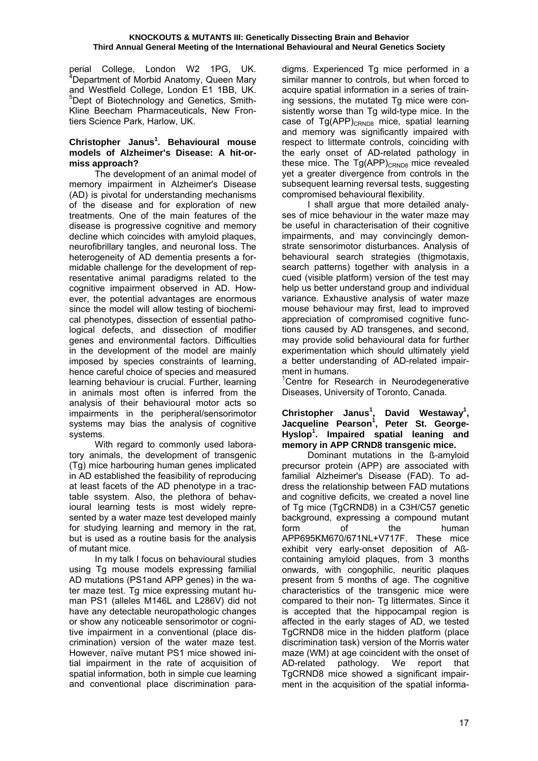perial College, London W2 1PG, UK. <sup>4</sup> Department of Morbid Anatomy, Queen Mary and Westfield College, London E1 1BB, UK. <sup>5</sup>Dept of Biotechnology and Genetics, Smith-Kline Beecham Pharmaceuticals, New Frontiers Science Park, Harlow, UK.

#### **Christopher Janus<sup>1</sup> . Behavioural mouse models of Alzheimer's Disease: A hit-ormiss approach?**

 The development of an animal model of memory impairment in Alzheimer's Disease (AD) is pivotal for understanding mechanisms of the disease and for exploration of new treatments. One of the main features of the disease is progressive cognitive and memory decline which coincides with amyloid plaques, neurofibrillary tangles, and neuronal loss. The heterogeneity of AD dementia presents a formidable challenge for the development of representative animal paradigms related to the cognitive impairment observed in AD. However, the potential advantages are enormous since the model will allow testing of biochemical phenotypes, dissection of essential pathological defects, and dissection of modifier genes and environmental factors. Difficulties in the development of the model are mainly imposed by species constraints of learning, hence careful choice of species and measured learning behaviour is crucial. Further, learning in animals most often is inferred from the analysis of their behavioural motor acts so impairments in the peripheral/sensorimotor systems may bias the analysis of cognitive systems.

 With regard to commonly used laboratory animals, the development of transgenic (Tg) mice harbouring human genes implicated in AD established the feasibility of reproducing at least facets of the AD phenotype in a tractable ssystem. Also, the plethora of behavioural learning tests is most widely represented by a water maze test developed mainly for studying learning and memory in the rat, but is used as a routine basis for the analysis of mutant mice.

 In my talk I focus on behavioural studies using Tg mouse models expressing familial AD mutations (PS1and APP genes) in the water maze test. Tg mice expressing mutant human PS1 (alleles M146L and L286V) did not have any detectable neuropathologic changes or show any noticeable sensorimotor or cognitive impairment in a conventional (place discrimination) version of the water maze test. However, naïve mutant PS1 mice showed initial impairment in the rate of acquisition of spatial information, both in simple cue learning and conventional place discrimination paradigms. Experienced Tg mice performed in a similar manner to controls, but when forced to acquire spatial information in a series of training sessions, the mutated Tg mice were consistently worse than Tg wild-type mice. In the case of  $Tg(APP)_{CRNDB}$  mice, spatial learning and memory was significantly impaired with respect to littermate controls, coinciding with the early onset of AD-related pathology in these mice. The  $Tg(APP)_{CRNDB}$  mice revealed yet a greater divergence from controls in the subsequent learning reversal tests, suggesting compromised behavioural flexibility.

 I shall argue that more detailed analyses of mice behaviour in the water maze may be useful in characterisation of their cognitive impairments, and may convincingly demonstrate sensorimotor disturbances. Analysis of behavioural search strategies (thigmotaxis, search patterns) together with analysis in a cued (visible platform) version of the test may help us better understand group and individual variance. Exhaustive analysis of water maze mouse behaviour may first, lead to improved appreciation of compromised cognitive functions caused by AD transgenes, and second, may provide solid behavioural data for further experimentation which should ultimately yield a better understanding of AD-related impairment in humans.

<sup>1</sup>Centre for Research in Neurodegenerative Diseases, University of Toronto, Canada.

## Christopher Janus<sup>1</sup>, David Westaway<sup>1</sup>, **Jacqueline Pearson<sup>1</sup> , Peter St. George-Hyslop1 . Impaired spatial leaning and memory in APP CRND8 transgenic mice.**

 Dominant mutations in the ß-amyloid precursor protein (APP) are associated with familial Alzheimer's Disease (FAD). To address the relationship between FAD mutations and cognitive deficits, we created a novel line of Tg mice (TgCRND8) in a C3H/C57 genetic background, expressing a compound mutant form of the human APP695KM670/671NL+V717F. These mice exhibit very early-onset deposition of Aßcontaining amyloid plaques, from 3 months onwards, with congophilic, neuritic plaques present from 5 months of age. The cognitive characteristics of the transgenic mice were compared to their non- Tg littermates. Since it is accepted that the hippocampal region is affected in the early stages of AD, we tested TgCRND8 mice in the hidden platform (place discrimination task) version of the Morris water maze (WM) at age coincident with the onset of AD-related pathology. We report that TgCRND8 mice showed a significant impairment in the acquisition of the spatial informa-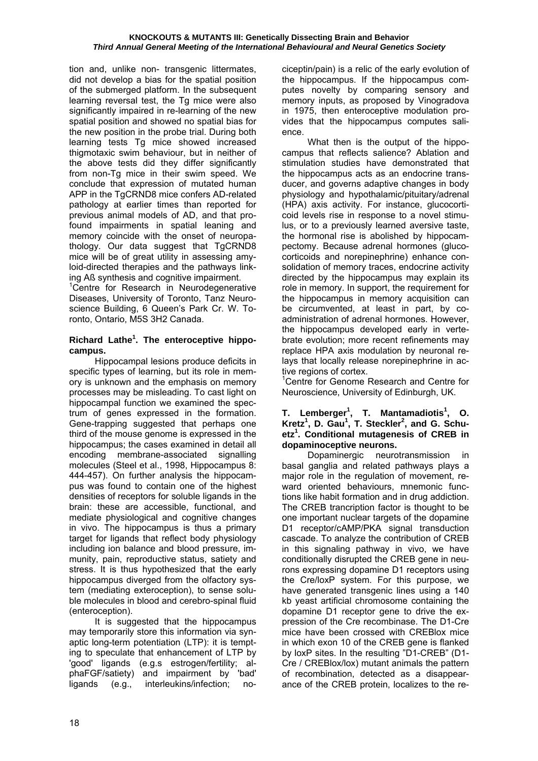tion and, unlike non- transgenic littermates, did not develop a bias for the spatial position of the submerged platform. In the subsequent learning reversal test, the Tg mice were also significantly impaired in re-learning of the new spatial position and showed no spatial bias for the new position in the probe trial. During both learning tests Tg mice showed increased thigmotaxic swim behaviour, but in neither of the above tests did they differ significantly from non-Tg mice in their swim speed. We conclude that expression of mutated human APP in the TgCRND8 mice confers AD-related pathology at earlier times than reported for previous animal models of AD, and that profound impairments in spatial leaning and memory coincide with the onset of neuropathology. Our data suggest that TgCRND8 mice will be of great utility in assessing amyloid-directed therapies and the pathways linking Aß synthesis and cognitive impairment.

<sup>1</sup>Centre for Research in Neurodegenerative Diseases, University of Toronto, Tanz Neuroscience Building, 6 Queen's Park Cr. W. Toronto, Ontario, M5S 3H2 Canada.

## **Richard Lathe<sup>1</sup> . The enteroceptive hippocampus.**

 Hippocampal lesions produce deficits in specific types of learning, but its role in memory is unknown and the emphasis on memory processes may be misleading. To cast light on hippocampal function we examined the spectrum of genes expressed in the formation. Gene-trapping suggested that perhaps one third of the mouse genome is expressed in the hippocampus; the cases examined in detail all encoding membrane-associated signalling molecules (Steel et al., 1998, Hippocampus 8: 444-457). On further analysis the hippocampus was found to contain one of the highest densities of receptors for soluble ligands in the brain: these are accessible, functional, and mediate physiological and cognitive changes in vivo. The hippocampus is thus a primary target for ligands that reflect body physiology including ion balance and blood pressure, immunity, pain, reproductive status, satiety and stress. It is thus hypothesized that the early hippocampus diverged from the olfactory system (mediating exteroception), to sense soluble molecules in blood and cerebro-spinal fluid (enteroception).

 It is suggested that the hippocampus may temporarily store this information via synaptic long-term potentiation (LTP): it is tempting to speculate that enhancement of LTP by 'good' ligands (e.g.s estrogen/fertility; alphaFGF/satiety) and impairment by 'bad' ligands (e.g., interleukins/infection; nociceptin/pain) is a relic of the early evolution of the hippocampus. If the hippocampus computes novelty by comparing sensory and memory inputs, as proposed by Vinogradova in 1975, then enteroceptive modulation provides that the hippocampus computes salience.

 What then is the output of the hippocampus that reflects salience? Ablation and stimulation studies have demonstrated that the hippocampus acts as an endocrine transducer, and governs adaptive changes in body physiology and hypothalamic/pituitary/adrenal (HPA) axis activity. For instance, glucocorticoid levels rise in response to a novel stimulus, or to a previously learned aversive taste, the hormonal rise is abolished by hippocampectomy. Because adrenal hormones (glucocorticoids and norepinephrine) enhance consolidation of memory traces, endocrine activity directed by the hippocampus may explain its role in memory. In support, the requirement for the hippocampus in memory acquisition can be circumvented, at least in part, by coadministration of adrenal hormones. However, the hippocampus developed early in vertebrate evolution; more recent refinements may replace HPA axis modulation by neuronal relays that locally release norepinephrine in active regions of cortex.

<sup>1</sup>Centre for Genome Research and Centre for Neuroscience, University of Edinburgh, UK.

#### **T. Lemberger<sup>1</sup> , T. Mantamadiotis<sup>1</sup> , O. Kretz<sup>1</sup> , D. Gau<sup>1</sup> , T. Steckler<sup>2</sup> , and G. Schuetz<sup>1</sup> . Conditional mutagenesis of CREB in dopaminoceptive neurons.**

 Dopaminergic neurotransmission in basal ganglia and related pathways plays a major role in the regulation of movement, reward oriented behaviours, mnemonic functions like habit formation and in drug addiction. The CREB trancription factor is thought to be one important nuclear targets of the dopamine D1 receptor/cAMP/PKA signal transduction cascade. To analyze the contribution of CREB in this signaling pathway in vivo, we have conditionally disrupted the CREB gene in neurons expressing dopamine D1 receptors using the Cre/loxP system. For this purpose, we have generated transgenic lines using a 140 kb yeast artificial chromosome containing the dopamine D1 receptor gene to drive the expression of the Cre recombinase. The D1-Cre mice have been crossed with CREBlox mice in which exon 10 of the CREB gene is flanked by loxP sites. In the resulting "D1-CREB" (D1- Cre / CREBlox/lox) mutant animals the pattern of recombination, detected as a disappearance of the CREB protein, localizes to the re-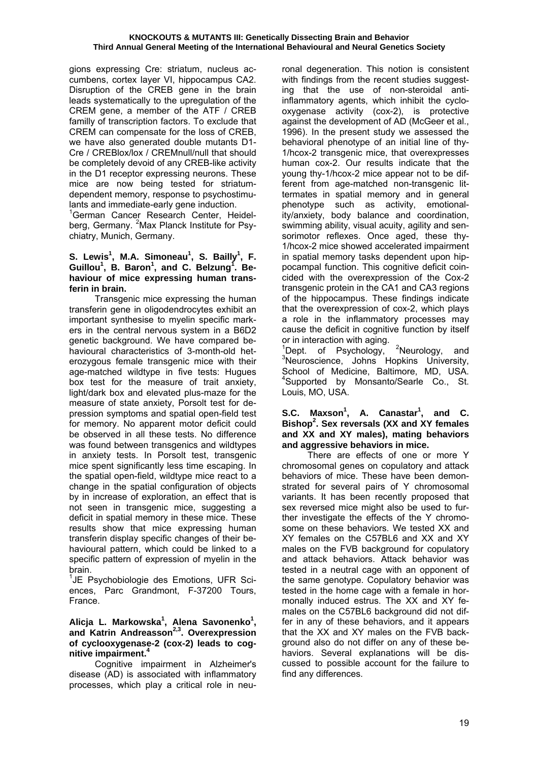gions expressing Cre: striatum, nucleus accumbens, cortex layer VI, hippocampus CA2. Disruption of the CREB gene in the brain leads systematically to the upregulation of the CREM gene, a member of the ATF / CREB familly of transcription factors. To exclude that CREM can compensate for the loss of CREB, we have also generated double mutants D1- Cre / CREBlox/lox / CREMnull/null that should be completely devoid of any CREB-like activity in the D1 receptor expressing neurons. These mice are now being tested for striatumdependent memory, response to psychostimulants and immediate-early gene induction.

1 German Cancer Research Center, Heidelberg, Germany. <sup>2</sup>Max Planck Institute for Psychiatry, Munich, Germany.

## **S.** Lewis<sup>1</sup>, M.A. Simoneau<sup>1</sup>, S. Bailly<sup>1</sup>, F. Guillou<sup>1</sup>, B. Baron<sup>1</sup>, and C. Belzung<sup>1</sup>. Be**haviour of mice expressing human transferin in brain.**

 Transgenic mice expressing the human transferin gene in oligodendrocytes exhibit an important synthesise to myelin specific markers in the central nervous system in a B6D2 genetic background. We have compared behavioural characteristics of 3-month-old heterozygous female transgenic mice with their age-matched wildtype in five tests: Hugues box test for the measure of trait anxiety, light/dark box and elevated plus-maze for the measure of state anxiety, Porsolt test for depression symptoms and spatial open-field test for memory. No apparent motor deficit could be observed in all these tests. No difference was found between transgenics and wildtypes in anxiety tests. In Porsolt test, transgenic mice spent significantly less time escaping. In the spatial open-field, wildtype mice react to a change in the spatial configuration of objects by in increase of exploration, an effect that is not seen in transgenic mice, suggesting a deficit in spatial memory in these mice. These results show that mice expressing human transferin display specific changes of their behavioural pattern, which could be linked to a specific pattern of expression of myelin in the brain.

<sup>1</sup>JE Psychobiologie des Emotions, UFR Sciences, Parc Grandmont, F-37200 Tours, France.

#### **Alicja L. Markowska<sup>1</sup> , Alena Savonenko<sup>1</sup> , and Katrin Andreasson2,3. Overexpression of cyclooxygenase-2 (cox-2) leads to cognitive impairment.4**

 Cognitive impairment in Alzheimer's disease (AD) is associated with inflammatory processes, which play a critical role in neuronal degeneration. This notion is consistent with findings from the recent studies suggesting that the use of non-steroidal antiinflammatory agents, which inhibit the cyclooxygenase activity (cox-2), is protective against the development of AD (McGeer et al., 1996). In the present study we assessed the behavioral phenotype of an initial line of thy-1/hcox-2 transgenic mice, that overexpresses human cox-2. Our results indicate that the young thy-1/hcox-2 mice appear not to be different from age-matched non-transgenic littermates in spatial memory and in general phenotype such as activity, emotionality/anxiety, body balance and coordination, swimming ability, visual acuity, agility and sensorimotor reflexes. Once aged, these thy-1/hcox-2 mice showed accelerated impairment in spatial memory tasks dependent upon hippocampal function. This cognitive deficit coincided with the overexpression of the Cox-2 transgenic protein in the CA1 and CA3 regions of the hippocampus. These findings indicate that the overexpression of cox-2, which plays a role in the inflammatory processes may cause the deficit in cognitive function by itself or in interaction with aging.

 $1$ Dept. of Psychology, <sup>2</sup>Neurology, and  $3$ Neuropeionee, Johns Junior and <sup>3</sup>Neuroscience, Johns Hopkins University, School of Medicine, Baltimore, MD, USA. <sup>4</sup>Supported by Monsanto/Searle Co., St. Louis, MO, USA.

#### **S.C. Maxson<sup>1</sup> , A. Canastar<sup>1</sup> , and C. Bishop2 . Sex reversals (XX and XY females and XX and XY males), mating behaviors and aggressive behaviors in mice.**

 There are effects of one or more Y chromosomal genes on copulatory and attack behaviors of mice. These have been demonstrated for several pairs of Y chromosomal variants. It has been recently proposed that sex reversed mice might also be used to further investigate the effects of the Y chromosome on these behaviors. We tested XX and XY females on the C57BL6 and XX and XY males on the FVB background for copulatory and attack behaviors. Attack behavior was tested in a neutral cage with an opponent of the same genotype. Copulatory behavior was tested in the home cage with a female in hormonally induced estrus. The XX and XY females on the C57BL6 background did not differ in any of these behaviors, and it appears that the XX and XY males on the FVB background also do not differ on any of these behaviors. Several explanations will be discussed to possible account for the failure to find any differences.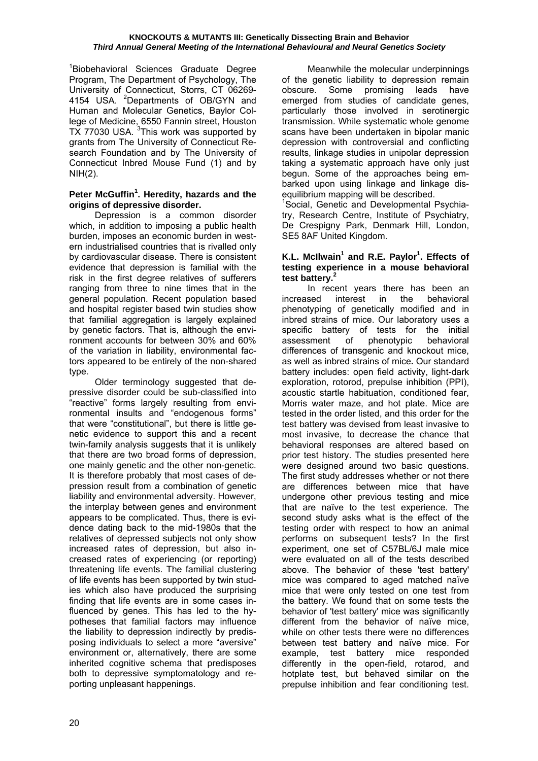<sup>1</sup>Biobehavioral Sciences Graduate Degree Program, The Department of Psychology, The University of Connecticut, Storrs, CT 06269- 4154 USA. <sup>2</sup>Departments of OB/GYN and Human and Molecular Genetics, Baylor College of Medicine, 6550 Fannin street, Houston TX 77030 USA. <sup>3</sup> This work was supported by grants from The University of Connecticut Research Foundation and by The University of Connecticut Inbred Mouse Fund (1) and by NIH(2).

## **Peter McGuffin<sup>1</sup> . Heredity, hazards and the origins of depressive disorder.**

 Depression is a common disorder which, in addition to imposing a public health burden, imposes an economic burden in western industrialised countries that is rivalled only by cardiovascular disease. There is consistent evidence that depression is familial with the risk in the first degree relatives of sufferers ranging from three to nine times that in the general population. Recent population based and hospital register based twin studies show that familial aggregation is largely explained by genetic factors. That is, although the environment accounts for between 30% and 60% of the variation in liability, environmental factors appeared to be entirely of the non-shared type.

 Older terminology suggested that depressive disorder could be sub-classified into "reactive" forms largely resulting from environmental insults and "endogenous forms" that were "constitutional", but there is little genetic evidence to support this and a recent twin-family analysis suggests that it is unlikely that there are two broad forms of depression, one mainly genetic and the other non-genetic. It is therefore probably that most cases of depression result from a combination of genetic liability and environmental adversity. However, the interplay between genes and environment appears to be complicated. Thus, there is evidence dating back to the mid-1980s that the relatives of depressed subjects not only show increased rates of depression, but also increased rates of experiencing (or reporting) threatening life events. The familial clustering of life events has been supported by twin studies which also have produced the surprising finding that life events are in some cases influenced by genes. This has led to the hypotheses that familial factors may influence the liability to depression indirectly by predisposing individuals to select a more "aversive" environment or, alternatively, there are some inherited cognitive schema that predisposes both to depressive symptomatology and reporting unpleasant happenings.

 Meanwhile the molecular underpinnings of the genetic liability to depression remain obscure. Some promising leads have emerged from studies of candidate genes, particularly those involved in serotinergic transmission. While systematic whole genome scans have been undertaken in bipolar manic depression with controversial and conflicting results, linkage studies in unipolar depression taking a systematic approach have only just begun. Some of the approaches being embarked upon using linkage and linkage disequilibrium mapping will be described.

<sup>1</sup>Social, Genetic and Developmental Psychiatry, Research Centre, Institute of Psychiatry, De Crespigny Park, Denmark Hill, London, SE5 8AF United Kingdom.

#### **K.L. McIlwain<sup>1</sup> and R.E. Paylor<sup>1</sup>. Effects of testing experience in a mouse behavioral test battery.<sup>2</sup>**

 In recent years there has been an increased interest in the behavioral phenotyping of genetically modified and in inbred strains of mice. Our laboratory uses a specific battery of tests for the initial assessment of phenotypic behavioral differences of transgenic and knockout mice, as well as inbred strains of mice**.** Our standard battery includes: open field activity, light-dark exploration, rotorod, prepulse inhibition (PPI), acoustic startle habituation, conditioned fear, Morris water maze, and hot plate. Mice are tested in the order listed, and this order for the test battery was devised from least invasive to most invasive, to decrease the chance that behavioral responses are altered based on prior test history. The studies presented here were designed around two basic questions. The first study addresses whether or not there are differences between mice that have undergone other previous testing and mice that are naïve to the test experience. The second study asks what is the effect of the testing order with respect to how an animal performs on subsequent tests? In the first experiment, one set of C57BL/6J male mice were evaluated on all of the tests described above. The behavior of these 'test battery' mice was compared to aged matched naïve mice that were only tested on one test from the battery. We found that on some tests the behavior of 'test battery' mice was significantly different from the behavior of naïve mice, while on other tests there were no differences between test battery and naïve mice. For example, test battery mice responded differently in the open-field, rotarod, and hotplate test, but behaved similar on the prepulse inhibition and fear conditioning test.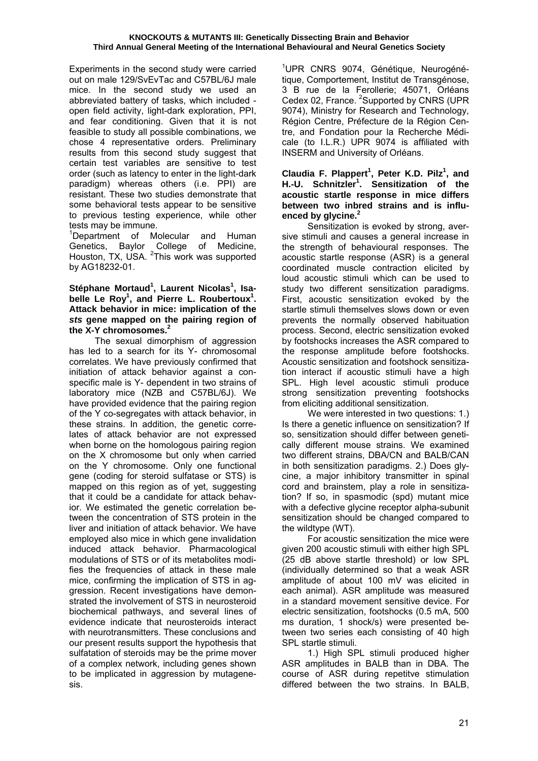Experiments in the second study were carried out on male 129/SvEvTac and C57BL/6J male mice. In the second study we used an abbreviated battery of tasks, which included open field activity, light-dark exploration, PPI, and fear conditioning. Given that it is not feasible to study all possible combinations, we chose 4 representative orders. Preliminary results from this second study suggest that certain test variables are sensitive to test order (such as latency to enter in the light-dark paradigm) whereas others (i.e. PPI) are resistant. These two studies demonstrate that some behavioral tests appear to be sensitive to previous testing experience, while other tests may be immune.

<sup>1</sup>Department of Molecular and Human Genetics, Baylor College of Medicine, Houston, TX, USA. <sup>2</sup>This work was supported by AG18232-01.

#### Stéphane Mortaud<sup>1</sup>, Laurent Nicolas<sup>1</sup>, Isabelle Le Roy<sup>1</sup>, and Pierre L. Roubertoux<sup>1</sup>. **Attack behavior in mice: implication of the**  *sts* **gene mapped on the pairing region of the X-Y chromosomes.2**

 The sexual dimorphism of aggression has led to a search for its Y- chromosomal correlates. We have previously confirmed that initiation of attack behavior against a conspecific male is Y- dependent in two strains of laboratory mice (NZB and C57BL/6J). We have provided evidence that the pairing region of the Y co-segregates with attack behavior, in these strains. In addition, the genetic correlates of attack behavior are not expressed when borne on the homologous pairing region on the X chromosome but only when carried on the Y chromosome. Only one functional gene (coding for steroid sulfatase or STS) is mapped on this region as of yet, suggesting that it could be a candidate for attack behavior. We estimated the genetic correlation between the concentration of STS protein in the liver and initiation of attack behavior. We have employed also mice in which gene invalidation induced attack behavior. Pharmacological modulations of STS or of its metabolites modifies the frequencies of attack in these male mice, confirming the implication of STS in aggression. Recent investigations have demonstrated the involvement of STS in neurosteroid biochemical pathways, and several lines of evidence indicate that neurosteroids interact with neurotransmitters. These conclusions and our present results support the hypothesis that sulfatation of steroids may be the prime mover of a complex network, including genes shown to be implicated in aggression by mutagenesis.

<sup>1</sup>UPR CNRS 9074, Génétique, Neurogénétique, Comportement, Institut de Transgénose, 3 B rue de la Ferollerie; 45071, Orléans Cedex 02, France. <sup>2</sup>Supported by CNRS (UPR 9074), Ministry for Research and Technology, Région Centre, Préfecture de la Région Centre, and Fondation pour la Recherche Médicale (to I.L.R.) UPR 9074 is affiliated with INSERM and University of Orléans.

#### **Claudia F. Plappert<sup>1</sup> , Peter K.D. Pilz<sup>1</sup> , and H.-U. Schnitzler<sup>1</sup> . Sensitization of the acoustic startle response in mice differs between two inbred strains and is influenced by glycine.2**

 Sensitization is evoked by strong, aversive stimuli and causes a general increase in the strength of behavioural responses. The acoustic startle response (ASR) is a general coordinated muscle contraction elicited by loud acoustic stimuli which can be used to study two different sensitization paradigms. First, acoustic sensitization evoked by the startle stimuli themselves slows down or even prevents the normally observed habituation process. Second, electric sensitization evoked by footshocks increases the ASR compared to the response amplitude before footshocks. Acoustic sensitization and footshock sensitization interact if acoustic stimuli have a high SPL. High level acoustic stimuli produce strong sensitization preventing footshocks from eliciting additional sensitization.

We were interested in two questions: 1.) Is there a genetic influence on sensitization? If so, sensitization should differ between genetically different mouse strains. We examined two different strains, DBA/CN and BALB/CAN in both sensitization paradigms. 2.) Does glycine, a major inhibitory transmitter in spinal cord and brainstem, play a role in sensitization? If so, in spasmodic (spd) mutant mice with a defective glycine receptor alpha-subunit sensitization should be changed compared to the wildtype (WT).

 For acoustic sensitization the mice were given 200 acoustic stimuli with either high SPL (25 dB above startle threshold) or low SPL (individually determined so that a weak ASR amplitude of about 100 mV was elicited in each animal). ASR amplitude was measured in a standard movement sensitive device. For electric sensitization, footshocks (0.5 mA, 500 ms duration, 1 shock/s) were presented between two series each consisting of 40 high SPL startle stimuli.

 1.) High SPL stimuli produced higher ASR amplitudes in BALB than in DBA. The course of ASR during repetitve stimulation differed between the two strains. In BALB,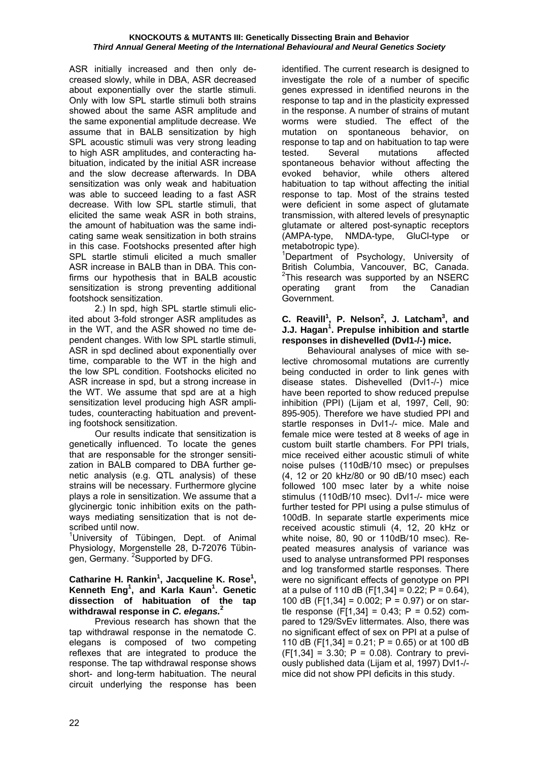ASR initially increased and then only decreased slowly, while in DBA, ASR decreased about exponentially over the startle stimuli. Only with low SPL startle stimuli both strains showed about the same ASR amplitude and the same exponential amplitude decrease. We assume that in BALB sensitization by high SPL acoustic stimuli was very strong leading to high ASR amplitudes, and conteracting habituation, indicated by the initial ASR increase and the slow decrease afterwards. In DBA sensitization was only weak and habituation was able to succeed leading to a fast ASR decrease. With low SPL startle stimuli, that elicited the same weak ASR in both strains, the amount of habituation was the same indicating same weak sensitization in both strains in this case. Footshocks presented after high SPL startle stimuli elicited a much smaller ASR increase in BALB than in DBA. This confirms our hypothesis that in BALB acoustic sensitization is strong preventing additional footshock sensitization.

 2.) In spd, high SPL startle stimuli elicited about 3-fold stronger ASR amplitudes as in the WT, and the ASR showed no time dependent changes. With low SPL startle stimuli, ASR in spd declined about exponentially over time, comparable to the WT in the high and the low SPL condition. Footshocks elicited no ASR increase in spd, but a strong increase in the WT. We assume that spd are at a high sensitization level producing high ASR amplitudes, counteracting habituation and preventing footshock sensitization.

 Our results indicate that sensitization is genetically influenced. To locate the genes that are responsable for the stronger sensitization in BALB compared to DBA further genetic analysis (e.g. QTL analysis) of these strains will be necessary. Furthermore glycine plays a role in sensitization. We assume that a glycinergic tonic inhibition exits on the pathways mediating sensitization that is not described until now.

<sup>1</sup>University of Tübingen, Dept. of Animal Physiology, Morgenstelle 28, D-72076 Tübingen, Germany. <sup>2</sup>Supported by DFG.

#### **Catharine H. Rankin<sup>1</sup> , Jacqueline K. Rose<sup>1</sup> , Kenneth Eng1 , and Karla Kaun<sup>1</sup> . Genetic dissection of habituation of the tap withdrawal response in** *C. elegans.***<sup>2</sup>**

 Previous research has shown that the tap withdrawal response in the nematode C. elegans is composed of two competing reflexes that are integrated to produce the response. The tap withdrawal response shows short- and long-term habituation. The neural circuit underlying the response has been identified. The current research is designed to investigate the role of a number of specific genes expressed in identified neurons in the response to tap and in the plasticity expressed in the response. A number of strains of mutant worms were studied. The effect of the mutation on spontaneous behavior, on response to tap and on habituation to tap were tested. Several mutations affected spontaneous behavior without affecting the evoked behavior, while others altered habituation to tap without affecting the initial response to tap. Most of the strains tested were deficient in some aspect of glutamate transmission, with altered levels of presynaptic glutamate or altered post-synaptic receptors (AMPA-type, NMDA-type, GluCl-type or metabotropic type).

<sup>1</sup>Department of Psychology, University of British Columbia, Vancouver, BC, Canada.  $2$ This research was supported by an NSERC operating grant from the Canadian Government.

#### **C.** Reavill<sup>1</sup>, P. Nelson<sup>2</sup>, J. Latcham<sup>3</sup>, and **J.J. Hagan<sup>1</sup> . Prepulse inhibition and startle responses in dishevelled (Dvl1-/-) mice.**

 Behavioural analyses of mice with selective chromosomal mutations are currently being conducted in order to link genes with disease states. Dishevelled (Dvl1-/-) mice have been reported to show reduced prepulse inhibition (PPI) (Lijam et al, 1997, Cell, 90: 895-905). Therefore we have studied PPI and startle responses in Dvl1-/- mice. Male and female mice were tested at 8 weeks of age in custom built startle chambers. For PPI trials, mice received either acoustic stimuli of white noise pulses (110dB/10 msec) or prepulses (4, 12 or 20 kHz/80 or 90 dB/10 msec) each followed 100 msec later by a white noise stimulus (110dB/10 msec). Dvl1-/- mice were further tested for PPI using a pulse stimulus of 100dB. In separate startle experiments mice received acoustic stimuli (4, 12, 20 kHz or white noise, 80, 90 or 110dB/10 msec). Repeated measures analysis of variance was used to analyse untransformed PPI responses and log transformed startle responses. There were no significant effects of genotype on PPI at a pulse of 110 dB (F[1,34] =  $0.22$ ; P =  $0.64$ ), 100 dB (F[1,34] = 0.002; P = 0.97) or on startle response  $(F[1,34] = 0.43; P = 0.52)$  compared to 129/SvEv littermates. Also, there was no significant effect of sex on PPI at a pulse of 110 dB (F[1,34] = 0.21; P = 0.65) or at 100 dB  $(F[1,34] = 3.30; P = 0.08)$ . Contrary to previously published data (Lijam et al, 1997) Dvl1-/ mice did not show PPI deficits in this study.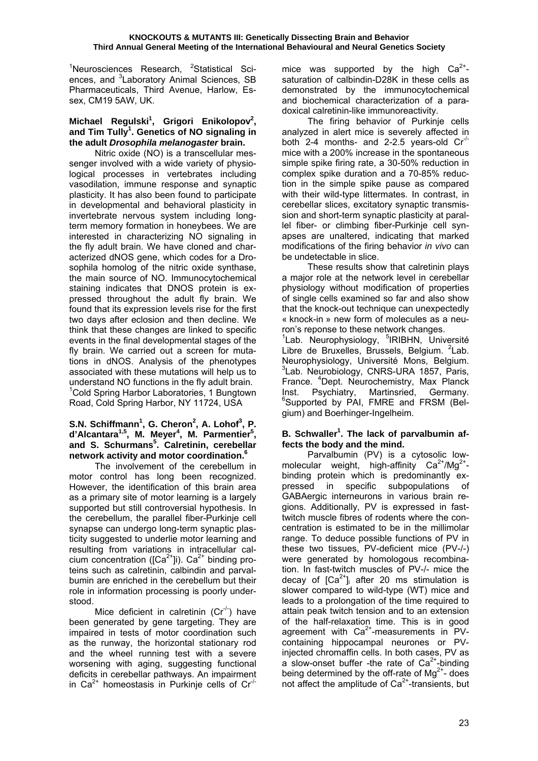<sup>1</sup>Neurosciences Research, <sup>2</sup>Statistical Sciences, and <sup>3</sup>Laboratory Animal Sciences, SB Pharmaceuticals, Third Avenue, Harlow, Essex, CM19 5AW, UK.

## Michael Regulski<sup>1</sup>, Grigori Enikolopov<sup>2</sup>, and Tim Tully<sup>1</sup>. Genetics of NO signaling in **the adult** *Drosophila melanogaster* **brain.**

 Nitric oxide (NO) is a transcellular messenger involved with a wide variety of physiological processes in vertebrates including vasodilation, immune response and synaptic plasticity. It has also been found to participate in developmental and behavioral plasticity in invertebrate nervous system including longterm memory formation in honeybees. We are interested in characterizing NO signaling in the fly adult brain. We have cloned and characterized dNOS gene, which codes for a Drosophila homolog of the nitric oxide synthase, the main source of NO. Immunocytochemical staining indicates that DNOS protein is expressed throughout the adult fly brain. We found that its expression levels rise for the first two days after eclosion and then decline. We think that these changes are linked to specific events in the final developmental stages of the fly brain. We carried out a screen for mutations in dNOS. Analysis of the phenotypes associated with these mutations will help us to understand NO functions in the fly adult brain. <sup>1</sup> Cold Spring Harbor Laboratories, 1 Bungtown Road, Cold Spring Harbor, NY 11724, USA

## **S.N. Schiffmann<sup>1</sup>, G. Cheron<sup>2</sup>, A. Lohof<sup>3</sup>, P.** d'Alcantara<sup>1,5</sup>, M. Meyer<sup>4</sup>, M. Parmentier<sup>5</sup>, **and S. Schurmans<sup>5</sup> . Calretinin, cerebellar network activity and motor coordination.6**

The involvement of the cerebellum in motor control has long been recognized. However, the identification of this brain area as a primary site of motor learning is a largely supported but still controversial hypothesis. In the cerebellum, the parallel fiber-Purkinje cell synapse can undergo long-term synaptic plasticity suggested to underlie motor learning and resulting from variations in intracellular calcium concentration ( $[Ca^{2+}$ ]i).  $Ca^{2+}$  binding proteins such as calretinin, calbindin and parvalbumin are enriched in the cerebellum but their role in information processing is poorly understood.

Mice deficient in calretinin  $(Cr^{-1})$  have been generated by gene targeting. They are impaired in tests of motor coordination such as the runway, the horizontal stationary rod and the wheel running test with a severe worsening with aging, suggesting functional deficits in cerebellar pathways. An impairment in Ca<sup>2+</sup> homeostasis in Purkinje cells of Cr<sup> $/-$ </sup>

mice was supported by the high  $Ca^{2+}$ saturation of calbindin-D28K in these cells as demonstrated by the immunocytochemical and biochemical characterization of a paradoxical calretinin-like immunoreactivity.

 The firing behavior of Purkinje cells analyzed in alert mice is severely affected in both 2-4 months- and 2-2.5 years-old  $Cr<sup>-/</sup>$ mice with a 200% increase in the spontaneous simple spike firing rate, a 30-50% reduction in complex spike duration and a 70-85% reduction in the simple spike pause as compared with their wild-type littermates. In contrast, in cerebellar slices, excitatory synaptic transmission and short-term synaptic plasticity at parallel fiber- or climbing fiber-Purkinje cell synapses are unaltered, indicating that marked modifications of the firing behavior *in vivo* can be undetectable in slice.

 These results show that calretinin plays a major role at the network level in cerebellar physiology without modification of properties of single cells examined so far and also show that the knock-out technique can unexpectedly « knock-in » new form of molecules as a neuron's reponse to these network changes.

<sup>1</sup>Lab. Neurophysiology, <sup>5</sup>IRIBHN, Université Libre de Bruxelles, Brussels, Belgium. <sup>2</sup>Lab. Neurophysiology, Université Mons, Belgium. <sup>3</sup>Lab. Neurobiology, CNRS-URA 1857, Paris, France. <sup>4</sup> Dept. Neurochemistry, Max Planck Inst. Psychiatry, Martinsried, Germany. 6 Supported by PAI, FMRE and FRSM (Belgium) and Boerhinger-Ingelheim.

## B. Schwaller<sup>1</sup>. The lack of parvalbumin af**fects the body and the mind.**

 Parvalbumin (PV) is a cytosolic lowmolecular weight, high-affinity  $Ca^{2+}/Mg^{2+}$ binding protein which is predominantly expressed in specific subpopulations of GABAergic interneurons in various brain regions. Additionally, PV is expressed in fasttwitch muscle fibres of rodents where the concentration is estimated to be in the millimolar range. To deduce possible functions of PV in these two tissues, PV-deficient mice (PV-/-) were generated by homologous recombination. In fast-twitch muscles of PV-/- mice the decay of  $[Ca^{2+}]$  after 20 ms stimulation is slower compared to wild-type (WT) mice and leads to a prolongation of the time required to attain peak twitch tension and to an extension of the half-relaxation time. This is in good agreement with  $Ca<sup>2+</sup>$ -measurements in PVcontaining hippocampal neurones or PVinjected chromaffin cells. In both cases, PV as a slow-onset buffer -the rate of  $Ca^{2+}$ -binding being determined by the off-rate of  $Mg^{2+}$ - does not affect the amplitude of  $Ca<sup>2+</sup>$ -transients, but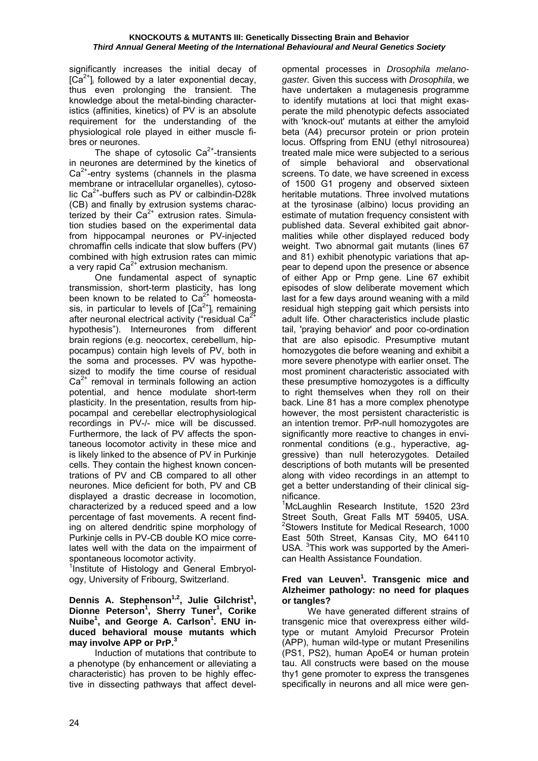significantly increases the initial decay of  $[Ca<sup>2+</sup>]$  followed by a later exponential decay, thus even prolonging the transient. The knowledge about the metal-binding characteristics (affinities, kinetics) of PV is an absolute requirement for the understanding of the physiological role played in either muscle fibres or neurones.

The shape of cytosolic  $Ca^{2+}$ -transients in neurones are determined by the kinetics of  $Ca<sup>2+</sup>$ -entry systems (channels in the plasma membrane or intracellular organelles), cytosolic  $Ca^{2+}$ -buffers such as PV or calbindin-D28k (CB) and finally by extrusion systems characterized by their  $Ca^{2+}$  extrusion rates. Simulation studies based on the experimental data from hippocampal neurones or PV-injected chromaffin cells indicate that slow buffers (PV) combined with high extrusion rates can mimic a very rapid  $Ca<sup>2+</sup>$  extrusion mechanism.

 One fundamental aspect of synaptic transmission, short-term plasticity, has long been known to be related to  $Ca<sup>2+</sup>$  homeostasis, in particular to levels of  $[Ca<sup>2+</sup>]$  remaining after neuronal electrical activity ("residual Ca<sup>2</sup> hypothesis"). Interneurones from different brain regions (e.g. neocortex, cerebellum, hippocampus) contain high levels of PV, both in the soma and processes. PV was hypothesized to modify the time course of residual  $Ca<sup>2+</sup>$  removal in terminals following an action potential, and hence modulate short-term plasticity. In the presentation, results from hippocampal and cerebellar electrophysiological recordings in PV-/- mice will be discussed. Furthermore, the lack of PV affects the spontaneous locomotor activity in these mice and is likely linked to the absence of PV in Purkinje cells. They contain the highest known concentrations of PV and CB compared to all other neurones. Mice deficient for both, PV and CB displayed a drastic decrease in locomotion, characterized by a reduced speed and a low percentage of fast movements. A recent finding on altered dendritic spine morphology of Purkinje cells in PV-CB double KO mice correlates well with the data on the impairment of spontaneous locomotor activity.

<sup>1</sup>Institute of Histology and General Embryology, University of Fribourg, Switzerland.

#### Dennis A. Stephenson<sup>1,2</sup>, Julie Gilchrist<sup>1</sup>, **Dionne Peterson1 , Sherry Tuner<sup>1</sup> , Corike Nuibe<sup>1</sup> , and George A. Carlson<sup>1</sup> . ENU induced behavioral mouse mutants which may involve APP or PrP.3**

 Induction of mutations that contribute to a phenotype (by enhancement or alleviating a characteristic) has proven to be highly effective in dissecting pathways that affect developmental processes in *Drosophila melanogaster.* Given this success with *Drosophila*, we have undertaken a mutagenesis programme to identify mutations at loci that might exasperate the mild phenotypic defects associated with 'knock-out' mutants at either the amyloid beta (A4) precursor protein or prion protein locus. Offspring from ENU (ethyl nitrosourea) treated male mice were subjected to a serious of simple behavioral and observational screens. To date, we have screened in excess of 1500 G1 progeny and observed sixteen heritable mutations. Three involved mutations at the tyrosinase (albino) locus providing an estimate of mutation frequency consistent with published data. Several exhibited gait abnormalities while other displayed reduced body weight. Two abnormal gait mutants (lines 67 and 81) exhibit phenotypic variations that appear to depend upon the presence or absence of either App or Prnp gene. Line 67 exhibit episodes of slow deliberate movement which last for a few days around weaning with a mild residual high stepping gait which persists into adult life. Other characteristics include plastic tail, 'praying behavior' and poor co-ordination that are also episodic. Presumptive mutant homozygotes die before weaning and exhibit a more severe phenotype with earlier onset. The most prominent characteristic associated with these presumptive homozygotes is a difficulty to right themselves when they roll on their back. Line 81 has a more complex phenotype however, the most persistent characteristic is an intention tremor. PrP-null homozygotes are significantly more reactive to changes in environmental conditions (e.g., hyperactive, aggressive) than null heterozygotes. Detailed descriptions of both mutants will be presented along with video recordings in an attempt to get a better understanding of their clinical significance.

<sup>1</sup>McLaughlin Research Institute, 1520 23rd Street South, Great Falls MT 59405, USA. <sup>2</sup>Stowers Institute for Medical Research, 1000 East 50th Street, Kansas City, MO 64110 USA. <sup>3</sup>This work was supported by the American Health Assistance Foundation.

#### Fred van Leuven<sup>1</sup>. Transgenic mice and **Alzheimer pathology: no need for plaques or tangles?**

We have generated different strains of transgenic mice that overexpress either wildtype or mutant Amyloid Precursor Protein (APP), human wild-type or mutant Presenilins (PS1, PS2), human ApoE4 or human protein tau. All constructs were based on the mouse thy1 gene promoter to express the transgenes specifically in neurons and all mice were gen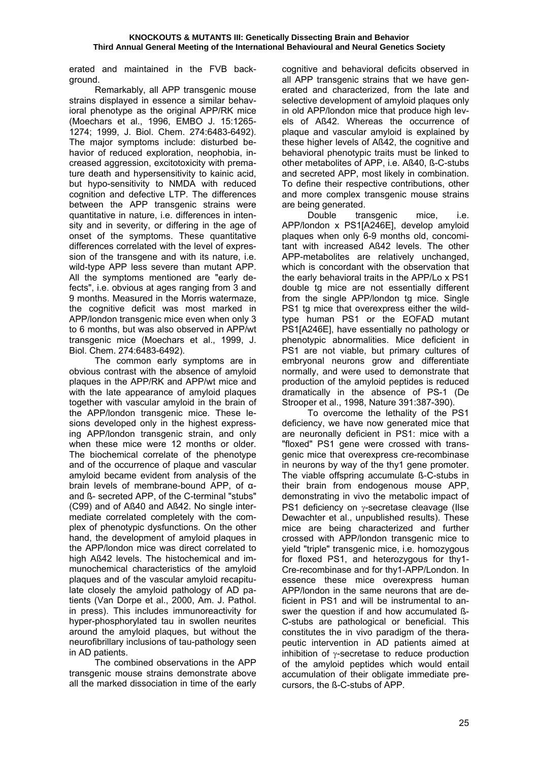erated and maintained in the FVB background.

 Remarkably, all APP transgenic mouse strains displayed in essence a similar behavioral phenotype as the original APP/RK mice (Moechars et al., 1996, EMBO J. 15:1265- 1274; 1999, J. Biol. Chem. 274:6483-6492). The major symptoms include: disturbed behavior of reduced exploration, neophobia, increased aggression, excitotoxicity with premature death and hypersensitivity to kainic acid, but hypo-sensitivity to NMDA with reduced cognition and defective LTP. The differences between the APP transgenic strains were quantitative in nature, i.e. differences in intensity and in severity, or differing in the age of onset of the symptoms. These quantitative differences correlated with the level of expression of the transgene and with its nature, i.e. wild-type APP less severe than mutant APP. All the symptoms mentioned are "early defects", i.e. obvious at ages ranging from 3 and 9 months. Measured in the Morris watermaze, the cognitive deficit was most marked in APP/london transgenic mice even when only 3 to 6 months, but was also observed in APP/wt transgenic mice (Moechars et al., 1999, J. Biol. Chem. 274:6483-6492).

 The common early symptoms are in obvious contrast with the absence of amyloid plaques in the APP/RK and APP/wt mice and with the late appearance of amyloid plaques together with vascular amyloid in the brain of the APP/london transgenic mice. These lesions developed only in the highest expressing APP/london transgenic strain, and only when these mice were 12 months or older. The biochemical correlate of the phenotype and of the occurrence of plaque and vascular amyloid became evident from analysis of the brain levels of membrane-bound APP, of αand ß- secreted APP, of the C-terminal "stubs" (C99) and of Aß40 and Aß42. No single intermediate correlated completely with the complex of phenotypic dysfunctions. On the other hand, the development of amyloid plaques in the APP/london mice was direct correlated to high Aß42 levels. The histochemical and immunochemical characteristics of the amyloid plaques and of the vascular amyloid recapitulate closely the amyloid pathology of AD patients (Van Dorpe et al., 2000, Am. J. Pathol. in press). This includes immunoreactivity for hyper-phosphorylated tau in swollen neurites around the amyloid plaques, but without the neurofibrillary inclusions of tau-pathology seen in AD patients.

 The combined observations in the APP transgenic mouse strains demonstrate above all the marked dissociation in time of the early cognitive and behavioral deficits observed in all APP transgenic strains that we have generated and characterized, from the late and selective development of amyloid plaques only in old APP/london mice that produce high levels of Aß42. Whereas the occurrence of plaque and vascular amyloid is explained by these higher levels of Aß42, the cognitive and behavioral phenotypic traits must be linked to other metabolites of APP, i.e. Aß40, ß-C-stubs and secreted APP, most likely in combination. To define their respective contributions, other and more complex transgenic mouse strains are being generated.

 Double transgenic mice, i.e. APP/london x PS1[A246E], develop amyloid plaques when only 6-9 months old, concomitant with increased Aß42 levels. The other APP-metabolites are relatively unchanged, which is concordant with the observation that the early behavioral traits in the APP/Lo x PS1 double tg mice are not essentially different from the single APP/london tg mice. Single PS1 tg mice that overexpress either the wildtype human PS1 or the EOFAD mutant PS1[A246E], have essentially no pathology or phenotypic abnormalities. Mice deficient in PS1 are not viable, but primary cultures of embryonal neurons grow and differentiate normally, and were used to demonstrate that production of the amyloid peptides is reduced dramatically in the absence of PS-1 (De Strooper et al., 1998, Nature 391:387-390).

 To overcome the lethality of the PS1 deficiency, we have now generated mice that are neuronally deficient in PS1: mice with a "floxed" PS1 gene were crossed with transgenic mice that overexpress cre-recombinase in neurons by way of the thy1 gene promoter. The viable offspring accumulate ß-C-stubs in their brain from endogenous mouse APP, demonstrating in vivo the metabolic impact of PS1 deficiency on γ-secretase cleavage (Ilse Dewachter et al., unpublished results). These mice are being characterized and further crossed with APP/london transgenic mice to yield "triple" transgenic mice, i.e. homozygous for floxed PS1, and heterozygous for thy1- Cre-recombinase and for thy1-APP/London. In essence these mice overexpress human APP/london in the same neurons that are deficient in PS1 and will be instrumental to answer the question if and how accumulated ß-C-stubs are pathological or beneficial. This constitutes the in vivo paradigm of the therapeutic intervention in AD patients aimed at inhibition of γ-secretase to reduce production of the amyloid peptides which would entail accumulation of their obligate immediate precursors, the ß-C-stubs of APP.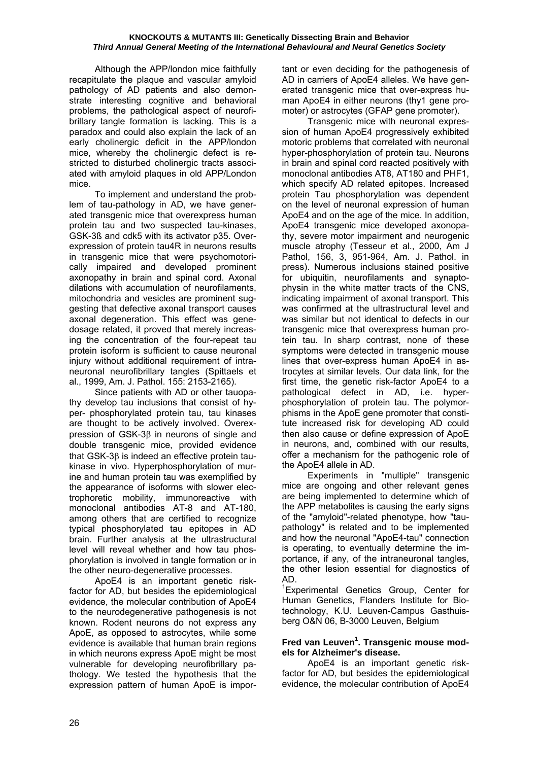Although the APP/london mice faithfully recapitulate the plaque and vascular amyloid pathology of AD patients and also demonstrate interesting cognitive and behavioral problems, the pathological aspect of neurofibrillary tangle formation is lacking. This is a paradox and could also explain the lack of an early cholinergic deficit in the APP/london mice, whereby the cholinergic defect is restricted to disturbed cholinergic tracts associated with amyloid plaques in old APP/London mice.

 To implement and understand the problem of tau-pathology in AD, we have generated transgenic mice that overexpress human protein tau and two suspected tau-kinases, GSK-3ß and cdk5 with its activator p35. Overexpression of protein tau4R in neurons results in transgenic mice that were psychomotorically impaired and developed prominent axonopathy in brain and spinal cord. Axonal dilations with accumulation of neurofilaments, mitochondria and vesicles are prominent suggesting that defective axonal transport causes axonal degeneration. This effect was genedosage related, it proved that merely increasing the concentration of the four-repeat tau protein isoform is sufficient to cause neuronal injury without additional requirement of intraneuronal neurofibrillary tangles (Spittaels et al., 1999, Am. J. Pathol. 155: 2153-2165).

 Since patients with AD or other tauopathy develop tau inclusions that consist of hyper- phosphorylated protein tau, tau kinases are thought to be actively involved. Overexpression of GSK-3β in neurons of single and double transgenic mice, provided evidence that GSK-3β is indeed an effective protein taukinase in vivo. Hyperphosphorylation of murine and human protein tau was exemplified by the appearance of isoforms with slower electrophoretic mobility, immunoreactive with monoclonal antibodies AT-8 and AT-180, among others that are certified to recognize typical phosphorylated tau epitopes in AD brain. Further analysis at the ultrastructural level will reveal whether and how tau phosphorylation is involved in tangle formation or in the other neuro-degenerative processes.

 ApoE4 is an important genetic riskfactor for AD, but besides the epidemiological evidence, the molecular contribution of ApoE4 to the neurodegenerative pathogenesis is not known. Rodent neurons do not express any ApoE, as opposed to astrocytes, while some evidence is available that human brain regions in which neurons express ApoE might be most vulnerable for developing neurofibrillary pathology. We tested the hypothesis that the expression pattern of human ApoE is important or even deciding for the pathogenesis of AD in carriers of ApoE4 alleles. We have generated transgenic mice that over-express human ApoE4 in either neurons (thy1 gene promoter) or astrocytes (GFAP gene promoter).

 Transgenic mice with neuronal expression of human ApoE4 progressively exhibited motoric problems that correlated with neuronal hyper-phosphorylation of protein tau. Neurons in brain and spinal cord reacted positively with monoclonal antibodies AT8, AT180 and PHF1, which specify AD related epitopes. Increased protein Tau phosphorylation was dependent on the level of neuronal expression of human ApoE4 and on the age of the mice. In addition, ApoE4 transgenic mice developed axonopathy, severe motor impairment and neurogenic muscle atrophy (Tesseur et al., 2000, Am J Pathol, 156, 3, 951-964, Am. J. Pathol. in press). Numerous inclusions stained positive for ubiquitin, neurofilaments and synaptophysin in the white matter tracts of the CNS, indicating impairment of axonal transport. This was confirmed at the ultrastructural level and was similar but not identical to defects in our transgenic mice that overexpress human protein tau. In sharp contrast, none of these symptoms were detected in transgenic mouse lines that over-express human ApoE4 in astrocytes at similar levels. Our data link, for the first time, the genetic risk-factor ApoE4 to a pathological defect in AD, i.e. hyperphosphorylation of protein tau. The polymorphisms in the ApoE gene promoter that constitute increased risk for developing AD could then also cause or define expression of ApoE in neurons, and, combined with our results, offer a mechanism for the pathogenic role of the ApoE4 allele in AD.

 Experiments in "multiple" transgenic mice are ongoing and other relevant genes are being implemented to determine which of the APP metabolites is causing the early signs of the "amyloid"-related phenotype, how "taupathology" is related and to be implemented and how the neuronal "ApoE4-tau" connection is operating, to eventually determine the importance, if any, of the intraneuronal tangles, the other lesion essential for diagnostics of AD.

<sup>1</sup>Experimental Genetics Group, Center for Human Genetics, Flanders Institute for Biotechnology, K.U. Leuven-Campus Gasthuisberg O&N 06, B-3000 Leuven, Belgium

## Fred van Leuven<sup>1</sup>. Transgenic mouse mod**els for Alzheimer's disease.**

 ApoE4 is an important genetic riskfactor for AD, but besides the epidemiological evidence, the molecular contribution of ApoE4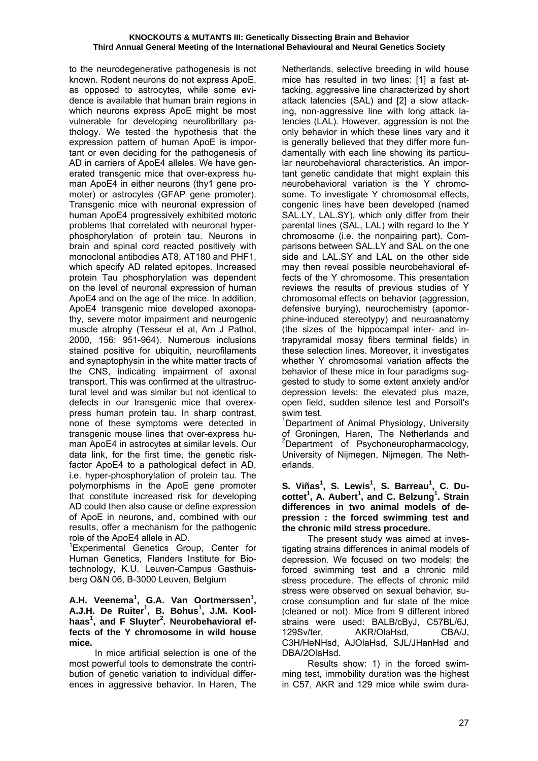to the neurodegenerative pathogenesis is not known. Rodent neurons do not express ApoE, as opposed to astrocytes, while some evidence is available that human brain regions in which neurons express ApoE might be most vulnerable for developing neurofibrillary pathology. We tested the hypothesis that the expression pattern of human ApoE is important or even deciding for the pathogenesis of AD in carriers of ApoE4 alleles. We have generated transgenic mice that over-express human ApoE4 in either neurons (thy1 gene promoter) or astrocytes (GFAP gene promoter). Transgenic mice with neuronal expression of human ApoE4 progressively exhibited motoric problems that correlated with neuronal hyperphosphorylation of protein tau. Neurons in brain and spinal cord reacted positively with monoclonal antibodies AT8, AT180 and PHF1, which specify AD related epitopes. Increased protein Tau phosphorylation was dependent on the level of neuronal expression of human ApoE4 and on the age of the mice. In addition, ApoE4 transgenic mice developed axonopathy, severe motor impairment and neurogenic muscle atrophy (Tesseur et al, Am J Pathol, 2000, 156: 951-964). Numerous inclusions stained positive for ubiquitin, neurofilaments and synaptophysin in the white matter tracts of the CNS, indicating impairment of axonal transport. This was confirmed at the ultrastructural level and was similar but not identical to defects in our transgenic mice that overexpress human protein tau. In sharp contrast, none of these symptoms were detected in transgenic mouse lines that over-express human ApoE4 in astrocytes at similar levels. Our data link, for the first time, the genetic riskfactor ApoE4 to a pathological defect in AD, i.e. hyper-phosphorylation of protein tau. The polymorphisms in the ApoE gene promoter that constitute increased risk for developing AD could then also cause or define expression of ApoE in neurons, and, combined with our results, offer a mechanism for the pathogenic role of the ApoE4 allele in AD.

1 Experimental Genetics Group, Center for Human Genetics, Flanders Institute for Biotechnology, K.U. Leuven-Campus Gasthuisberg O&N 06, B-3000 Leuven, Belgium

#### **A.H. Veenema<sup>1</sup> , G.A. Van Oortmerssen<sup>1</sup> , A.J.H. De Ruiter1 , B. Bohus<sup>1</sup> , J.M. Koolhaas<sup>1</sup> , and F Sluyter<sup>2</sup> . Neurobehavioral effects of the Y chromosome in wild house mice.**

 In mice artificial selection is one of the most powerful tools to demonstrate the contribution of genetic variation to individual differences in aggressive behavior. In Haren, The Netherlands, selective breeding in wild house mice has resulted in two lines: [1] a fast attacking, aggressive line characterized by short attack latencies (SAL) and [2] a slow attacking, non-aggressive line with long attack latencies (LAL). However, aggression is not the only behavior in which these lines vary and it is generally believed that they differ more fundamentally with each line showing its particular neurobehavioral characteristics. An important genetic candidate that might explain this neurobehavioral variation is the Y chromosome. To investigate Y chromosomal effects. congenic lines have been developed (named SAL.LY, LAL.SY), which only differ from their parental lines (SAL, LAL) with regard to the Y chromosome (i.e. the nonpairing part). Comparisons between SAL.LY and SAL on the one side and LAL.SY and LAL on the other side may then reveal possible neurobehavioral effects of the Y chromosome. This presentation reviews the results of previous studies of Y chromosomal effects on behavior (aggression, defensive burying), neurochemistry (apomorphine-induced stereotypy) and neuroanatomy (the sizes of the hippocampal inter- and intrapyramidal mossy fibers terminal fields) in these selection lines. Moreover, it investigates whether Y chromosomal variation affects the behavior of these mice in four paradigms suggested to study to some extent anxiety and/or depression levels: the elevated plus maze, open field, sudden silence test and Porsolt's swim test.

<sup>1</sup>Department of Animal Physiology, University of Groningen, Haren, The Netherlands and <sup>2</sup>Department of Psychoneuropharmacology, University of Nijmegen, Nijmegen, The Netherlands.

#### **S. Viñas<sup>1</sup> , S. Lewis<sup>1</sup> , S. Barreau<sup>1</sup> , C. Ducottet<sup>1</sup> , A. Aubert<sup>1</sup> , and C. Belzung<sup>1</sup> . Strain differences in two animal models of depression : the forced swimming test and the chronic mild stress procedure.**

 The present study was aimed at investigating strains differences in animal models of depression. We focused on two models: the forced swimming test and a chronic mild stress procedure. The effects of chronic mild stress were observed on sexual behavior, sucrose consumption and fur state of the mice (cleaned or not). Mice from 9 different inbred strains were used: BALB/cByJ, C57BL/6J, 129Sv/ter, AKR/OlaHsd, CBA/J, C3H/HeNHsd, AJOlaHsd, SJL/JHanHsd and DBA/2OlaHsd.

 Results show: 1) in the forced swimming test, immobility duration was the highest in C57, AKR and 129 mice while swim dura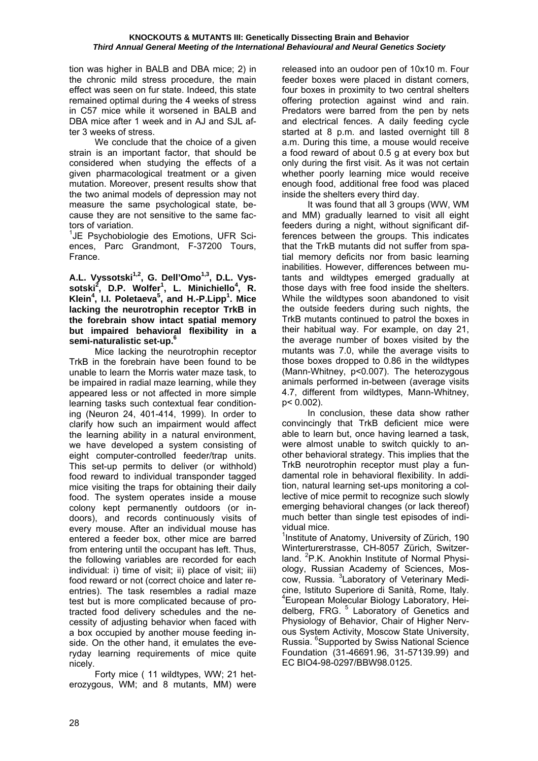tion was higher in BALB and DBA mice; 2) in the chronic mild stress procedure, the main effect was seen on fur state. Indeed, this state remained optimal during the 4 weeks of stress in C57 mice while it worsened in BALB and DBA mice after 1 week and in AJ and SJL after 3 weeks of stress.

 We conclude that the choice of a given strain is an important factor, that should be considered when studying the effects of a given pharmacological treatment or a given mutation. Moreover, present results show that the two animal models of depression may not measure the same psychological state, because they are not sensitive to the same factors of variation.

<sup>1</sup>JE Psychobiologie des Emotions, UFR Sciences, Parc Grandmont, F-37200 Tours, France.

A.L. Vyssotski<sup>1,2</sup>, G. Dell'Omo<sup>1,3</sup>, D.L. Vys**sotski2 , D.P. Wolfer1 , L. Minichiello<sup>4</sup> , R. Klein4 , I.I. Poletaeva<sup>5</sup> , and H.-P.Lipp<sup>1</sup> . Mice lacking the neurotrophin receptor TrkB in the forebrain show intact spatial memory but impaired behavioral flexibility in a semi-naturalistic set-up.6**

 Mice lacking the neurotrophin receptor TrkB in the forebrain have been found to be unable to learn the Morris water maze task, to be impaired in radial maze learning, while they appeared less or not affected in more simple learning tasks such contextual fear conditioning (Neuron 24, 401-414, 1999). In order to clarify how such an impairment would affect the learning ability in a natural environment, we have developed a system consisting of eight computer-controlled feeder/trap units. This set-up permits to deliver (or withhold) food reward to individual transponder tagged mice visiting the traps for obtaining their daily food. The system operates inside a mouse colony kept permanently outdoors (or indoors), and records continuously visits of every mouse. After an individual mouse has entered a feeder box, other mice are barred from entering until the occupant has left. Thus, the following variables are recorded for each individual: i) time of visit; ii) place of visit; iii) food reward or not (correct choice and later reentries). The task resembles a radial maze test but is more complicated because of protracted food delivery schedules and the necessity of adjusting behavior when faced with a box occupied by another mouse feeding inside. On the other hand, it emulates the everyday learning requirements of mice quite nicely.

 Forty mice ( 11 wildtypes, WW; 21 heterozygous, WM; and 8 mutants, MM) were

released into an oudoor pen of 10x10 m. Four feeder boxes were placed in distant corners, four boxes in proximity to two central shelters offering protection against wind and rain. Predators were barred from the pen by nets and electrical fences. A daily feeding cycle started at 8 p.m. and lasted overnight till 8 a.m. During this time, a mouse would receive a food reward of about 0.5 g at every box but only during the first visit. As it was not certain whether poorly learning mice would receive enough food, additional free food was placed inside the shelters every third day.

 It was found that all 3 groups (WW, WM and MM) gradually learned to visit all eight feeders during a night, without significant differences between the groups. This indicates that the TrkB mutants did not suffer from spatial memory deficits nor from basic learning inabilities. However, differences between mutants and wildtypes emerged gradually at those days with free food inside the shelters. While the wildtypes soon abandoned to visit the outside feeders during such nights, the TrkB mutants continued to patrol the boxes in their habitual way. For example, on day 21, the average number of boxes visited by the mutants was 7.0, while the average visits to those boxes dropped to 0.86 in the wildtypes (Mann-Whitney, p<0.007). The heterozygous animals performed in-between (average visits 4.7, different from wildtypes, Mann-Whitney, p< 0.002).

 In conclusion, these data show rather convincingly that TrkB deficient mice were able to learn but, once having learned a task, were almost unable to switch quickly to another behavioral strategy. This implies that the TrkB neurotrophin receptor must play a fundamental role in behavioral flexibility. In addition, natural learning set-ups monitoring a collective of mice permit to recognize such slowly emerging behavioral changes (or lack thereof) much better than single test episodes of individual mice.

<sup>1</sup>Institute of Anatomy, University of Zürich, 190 Winterturerstrasse, CH-8057 Zürich, Switzerland. <sup>2</sup>P.K. Anokhin Institute of Normal Physiology, Russian Academy of Sciences, Moscow, Russia. <sup>3</sup>Laboratory of Veterinary Medicine, Istituto Superiore di Sanità, Rome, Italy. 4 European Molecular Biology Laboratory, Heidelberg, FRG.<sup>5</sup> Laboratory of Genetics and Physiology of Behavior, Chair of Higher Nervous System Activity, Moscow State University, Russia. <sup>6</sup>Supported by Swiss National Science Foundation (31-46691.96, 31-57139.99) and EC BIO4-98-0297/BBW98.0125.